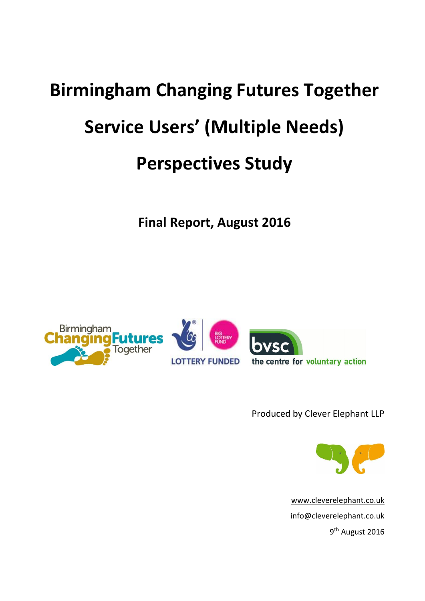# **Birmingham Changing Futures Together Service Users' (Multiple Needs) Perspectives Study**

**Final Report, August 2016**



Produced by Clever Elephant LLP



[www.cleverelephant.co.uk](http://www.cleverelephant.co.uk/) info@cleverelephant.co.uk 9<sup>th</sup> August 2016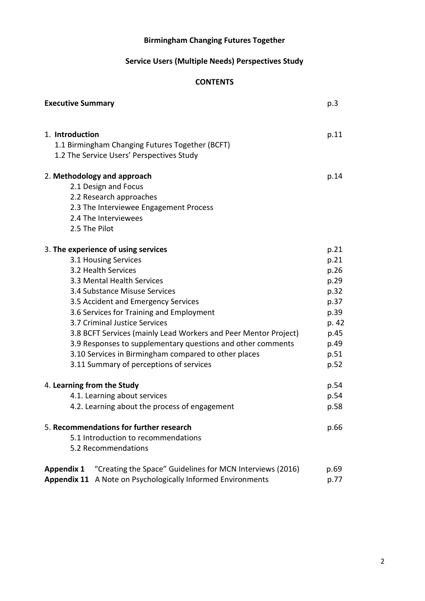# **Birmingham Changing Futures Together**

# **Service Users (Multiple Needs) Perspectives Study**

# **CONTENTS**

| <b>Executive Summary</b>                                                       | p.3   |
|--------------------------------------------------------------------------------|-------|
|                                                                                |       |
| 1. Introduction                                                                | p.11  |
| 1.1 Birmingham Changing Futures Together (BCFT)                                |       |
| 1.2 The Service Users' Perspectives Study                                      |       |
|                                                                                |       |
| 2. Methodology and approach                                                    | p.14  |
| 2.1 Design and Focus                                                           |       |
| 2.2 Research approaches                                                        |       |
| 2.3 The Interviewee Engagement Process                                         |       |
| 2.4 The Interviewees                                                           |       |
| 2.5 The Pilot                                                                  |       |
| 3. The experience of using services                                            | p.21  |
| 3.1 Housing Services                                                           | p.21  |
| 3.2 Health Services                                                            | p.26  |
| 3.3 Mental Health Services                                                     | p.29  |
| 3.4 Substance Misuse Services                                                  | p.32  |
| 3.5 Accident and Emergency Services                                            | p.37  |
| 3.6 Services for Training and Employment                                       | p.39  |
| 3.7 Criminal Justice Services                                                  | p. 42 |
| 3.8 BCFT Services (mainly Lead Workers and Peer Mentor Project)                | p.45  |
| 3.9 Responses to supplementary questions and other comments                    | p.49  |
| 3.10 Services in Birmingham compared to other places                           | p.51  |
| 3.11 Summary of perceptions of services                                        | p.52  |
| 4. Learning from the Study                                                     | p.54  |
| 4.1. Learning about services                                                   | p.54  |
| 4.2. Learning about the process of engagement                                  | p.58  |
|                                                                                |       |
| 5. Recommendations for further research                                        | p.66  |
| 5.1 Introduction to recommendations                                            |       |
| 5.2 Recommendations                                                            |       |
| "Creating the Space" Guidelines for MCN Interviews (2016)<br><b>Appendix 1</b> | p.69  |
| <b>Appendix 11</b> A Note on Psychologically Informed Environments             | p.77  |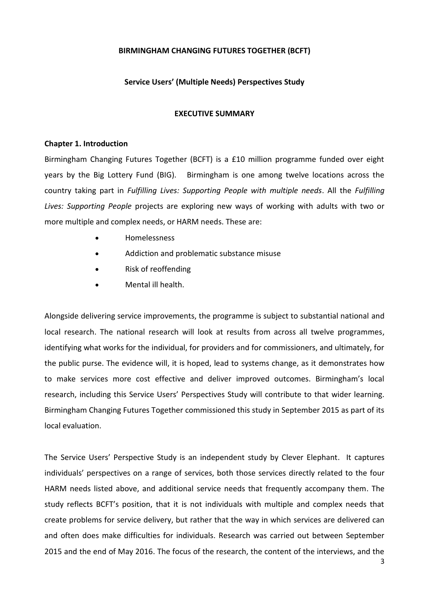# **BIRMINGHAM CHANGING FUTURES TOGETHER (BCFT)**

# **Service Users' (Multiple Needs) Perspectives Study**

#### **EXECUTIVE SUMMARY**

#### **Chapter 1. Introduction**

Birmingham Changing Futures Together (BCFT) is a £10 million programme funded over eight years by the Big Lottery Fund (BIG). Birmingham is one among twelve locations across the country taking part in *Fulfilling Lives: Supporting People with multiple needs*. All the *Fulfilling Lives: Supporting People* projects are exploring new ways of working with adults with two or more multiple and complex needs, or HARM needs. These are:

- Homelessness
- Addiction and problematic substance misuse
- Risk of reoffending
- Mental ill health.

Alongside delivering service improvements, the programme is subject to substantial national and local research. The national research will look at results from across all twelve programmes, identifying what works for the individual, for providers and for commissioners, and ultimately, for the public purse. The evidence will, it is hoped, lead to systems change, as it demonstrates how to make services more cost effective and deliver improved outcomes. Birmingham's local research, including this Service Users' Perspectives Study will contribute to that wider learning. Birmingham Changing Futures Together commissioned this study in September 2015 as part of its local evaluation.

The Service Users' Perspective Study is an independent study by Clever Elephant. It captures individuals' perspectives on a range of services, both those services directly related to the four HARM needs listed above, and additional service needs that frequently accompany them. The study reflects BCFT's position, that it is not individuals with multiple and complex needs that create problems for service delivery, but rather that the way in which services are delivered can and often does make difficulties for individuals. Research was carried out between September 2015 and the end of May 2016. The focus of the research, the content of the interviews, and the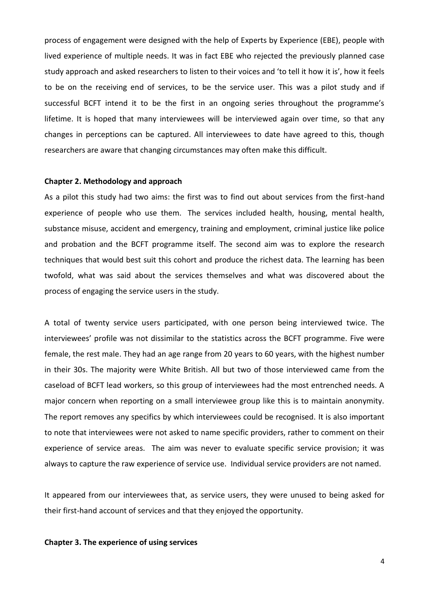process of engagement were designed with the help of Experts by Experience (EBE), people with lived experience of multiple needs. It was in fact EBE who rejected the previously planned case study approach and asked researchers to listen to their voices and 'to tell it how it is', how it feels to be on the receiving end of services, to be the service user. This was a pilot study and if successful BCFT intend it to be the first in an ongoing series throughout the programme's lifetime. It is hoped that many interviewees will be interviewed again over time, so that any changes in perceptions can be captured. All interviewees to date have agreed to this, though researchers are aware that changing circumstances may often make this difficult.

#### **Chapter 2. Methodology and approach**

As a pilot this study had two aims: the first was to find out about services from the first-hand experience of people who use them. The services included health, housing, mental health, substance misuse, accident and emergency, training and employment, criminal justice like police and probation and the BCFT programme itself. The second aim was to explore the research techniques that would best suit this cohort and produce the richest data. The learning has been twofold, what was said about the services themselves and what was discovered about the process of engaging the service users in the study.

A total of twenty service users participated, with one person being interviewed twice. The interviewees' profile was not dissimilar to the statistics across the BCFT programme. Five were female, the rest male. They had an age range from 20 years to 60 years, with the highest number in their 30s. The majority were White British. All but two of those interviewed came from the caseload of BCFT lead workers, so this group of interviewees had the most entrenched needs. A major concern when reporting on a small interviewee group like this is to maintain anonymity. The report removes any specifics by which interviewees could be recognised. It is also important to note that interviewees were not asked to name specific providers, rather to comment on their experience of service areas. The aim was never to evaluate specific service provision; it was always to capture the raw experience of service use. Individual service providers are not named.

It appeared from our interviewees that, as service users, they were unused to being asked for their first-hand account of services and that they enjoyed the opportunity.

#### **Chapter 3. The experience of using services**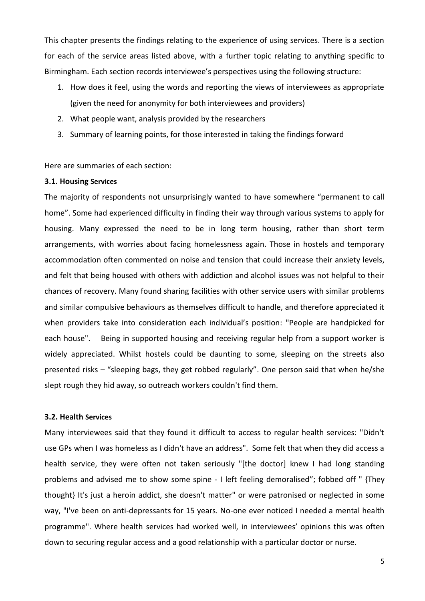This chapter presents the findings relating to the experience of using services. There is a section for each of the service areas listed above, with a further topic relating to anything specific to Birmingham. Each section records interviewee's perspectives using the following structure:

- 1. How does it feel, using the words and reporting the views of interviewees as appropriate (given the need for anonymity for both interviewees and providers)
- 2. What people want, analysis provided by the researchers
- 3. Summary of learning points, for those interested in taking the findings forward

Here are summaries of each section:

#### **3.1. Housing Services**

The majority of respondents not unsurprisingly wanted to have somewhere "permanent to call home". Some had experienced difficulty in finding their way through various systems to apply for housing. Many expressed the need to be in long term housing, rather than short term arrangements, with worries about facing homelessness again. Those in hostels and temporary accommodation often commented on noise and tension that could increase their anxiety levels, and felt that being housed with others with addiction and alcohol issues was not helpful to their chances of recovery. Many found sharing facilities with other service users with similar problems and similar compulsive behaviours as themselves difficult to handle, and therefore appreciated it when providers take into consideration each individual's position: "People are handpicked for each house". Being in supported housing and receiving regular help from a support worker is widely appreciated. Whilst hostels could be daunting to some, sleeping on the streets also presented risks – "sleeping bags, they get robbed regularly". One person said that when he/she slept rough they hid away, so outreach workers couldn't find them.

#### **3.2. Health Services**

Many interviewees said that they found it difficult to access to regular health services: "Didn't use GPs when I was homeless as I didn't have an address". Some felt that when they did access a health service, they were often not taken seriously "[the doctor] knew I had long standing problems and advised me to show some spine - I left feeling demoralised"; fobbed off " {They thought} It's just a heroin addict, she doesn't matter" or were patronised or neglected in some way, "I've been on anti-depressants for 15 years. No-one ever noticed I needed a mental health programme". Where health services had worked well, in interviewees' opinions this was often down to securing regular access and a good relationship with a particular doctor or nurse.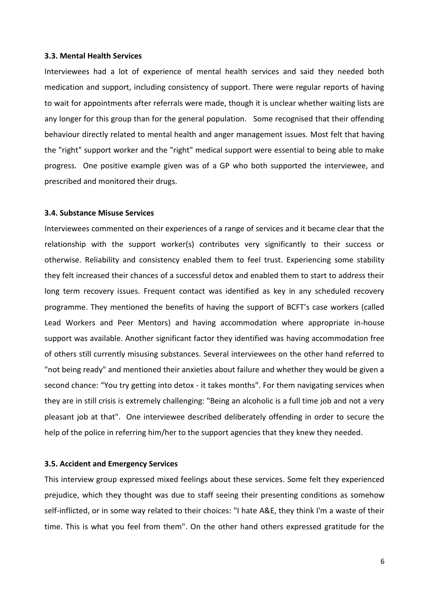#### **3.3. Mental Health Services**

Interviewees had a lot of experience of mental health services and said they needed both medication and support, including consistency of support. There were regular reports of having to wait for appointments after referrals were made, though it is unclear whether waiting lists are any longer for this group than for the general population. Some recognised that their offending behaviour directly related to mental health and anger management issues. Most felt that having the "right" support worker and the "right" medical support were essential to being able to make progress. One positive example given was of a GP who both supported the interviewee, and prescribed and monitored their drugs.

#### **3.4. Substance Misuse Services**

Interviewees commented on their experiences of a range of services and it became clear that the relationship with the support worker(s) contributes very significantly to their success or otherwise. Reliability and consistency enabled them to feel trust. Experiencing some stability they felt increased their chances of a successful detox and enabled them to start to address their long term recovery issues. Frequent contact was identified as key in any scheduled recovery programme. They mentioned the benefits of having the support of BCFT's case workers (called Lead Workers and Peer Mentors) and having accommodation where appropriate in-house support was available. Another significant factor they identified was having accommodation free of others still currently misusing substances. Several interviewees on the other hand referred to "not being ready" and mentioned their anxieties about failure and whether they would be given a second chance: "You try getting into detox - it takes months". For them navigating services when they are in still crisis is extremely challenging: "Being an alcoholic is a full time job and not a very pleasant job at that". One interviewee described deliberately offending in order to secure the help of the police in referring him/her to the support agencies that they knew they needed.

# **3.5. Accident and Emergency Services**

This interview group expressed mixed feelings about these services. Some felt they experienced prejudice, which they thought was due to staff seeing their presenting conditions as somehow self-inflicted, or in some way related to their choices: "I hate A&E, they think I'm a waste of their time. This is what you feel from them". On the other hand others expressed gratitude for the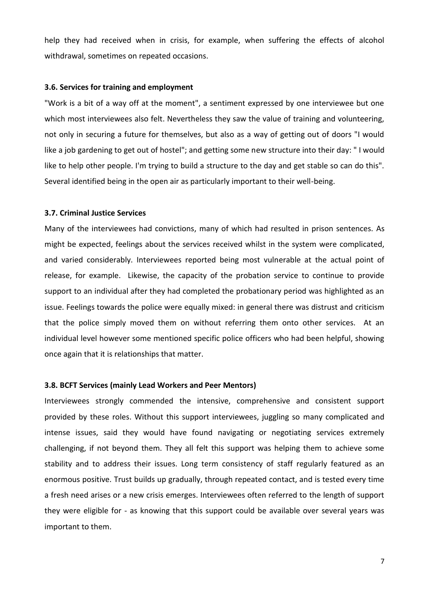help they had received when in crisis, for example, when suffering the effects of alcohol withdrawal, sometimes on repeated occasions.

#### **3.6. Services for training and employment**

"Work is a bit of a way off at the moment", a sentiment expressed by one interviewee but one which most interviewees also felt. Nevertheless they saw the value of training and volunteering, not only in securing a future for themselves, but also as a way of getting out of doors "I would like a job gardening to get out of hostel"; and getting some new structure into their day: " I would like to help other people. I'm trying to build a structure to the day and get stable so can do this". Several identified being in the open air as particularly important to their well-being.

#### **3.7. Criminal Justice Services**

Many of the interviewees had convictions, many of which had resulted in prison sentences. As might be expected, feelings about the services received whilst in the system were complicated, and varied considerably. Interviewees reported being most vulnerable at the actual point of release, for example. Likewise, the capacity of the probation service to continue to provide support to an individual after they had completed the probationary period was highlighted as an issue. Feelings towards the police were equally mixed: in general there was distrust and criticism that the police simply moved them on without referring them onto other services. At an individual level however some mentioned specific police officers who had been helpful, showing once again that it is relationships that matter.

#### **3.8. BCFT Services (mainly Lead Workers and Peer Mentors)**

Interviewees strongly commended the intensive, comprehensive and consistent support provided by these roles. Without this support interviewees, juggling so many complicated and intense issues, said they would have found navigating or negotiating services extremely challenging, if not beyond them. They all felt this support was helping them to achieve some stability and to address their issues. Long term consistency of staff regularly featured as an enormous positive. Trust builds up gradually, through repeated contact, and is tested every time a fresh need arises or a new crisis emerges. Interviewees often referred to the length of support they were eligible for - as knowing that this support could be available over several years was important to them.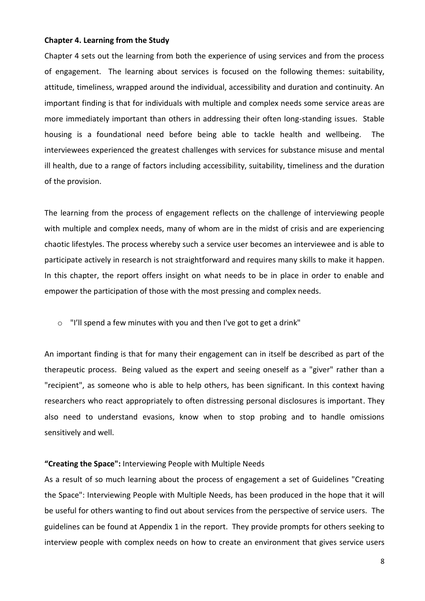#### **Chapter 4. Learning from the Study**

Chapter 4 sets out the learning from both the experience of using services and from the process of engagement. The learning about services is focused on the following themes: suitability, attitude, timeliness, wrapped around the individual, accessibility and duration and continuity. An important finding is that for individuals with multiple and complex needs some service areas are more immediately important than others in addressing their often long-standing issues. Stable housing is a foundational need before being able to tackle health and wellbeing. The interviewees experienced the greatest challenges with services for substance misuse and mental ill health, due to a range of factors including accessibility, suitability, timeliness and the duration of the provision.

The learning from the process of engagement reflects on the challenge of interviewing people with multiple and complex needs, many of whom are in the midst of crisis and are experiencing chaotic lifestyles. The process whereby such a service user becomes an interviewee and is able to participate actively in research is not straightforward and requires many skills to make it happen. In this chapter, the report offers insight on what needs to be in place in order to enable and empower the participation of those with the most pressing and complex needs.

o "I'll spend a few minutes with you and then I've got to get a drink"

An important finding is that for many their engagement can in itself be described as part of the therapeutic process. Being valued as the expert and seeing oneself as a "giver" rather than a "recipient", as someone who is able to help others, has been significant. In this context having researchers who react appropriately to often distressing personal disclosures is important. They also need to understand evasions, know when to stop probing and to handle omissions sensitively and well.

#### **"Creating the Space":** Interviewing People with Multiple Needs

As a result of so much learning about the process of engagement a set of Guidelines "Creating the Space": Interviewing People with Multiple Needs, has been produced in the hope that it will be useful for others wanting to find out about services from the perspective of service users. The guidelines can be found at Appendix 1 in the report. They provide prompts for others seeking to interview people with complex needs on how to create an environment that gives service users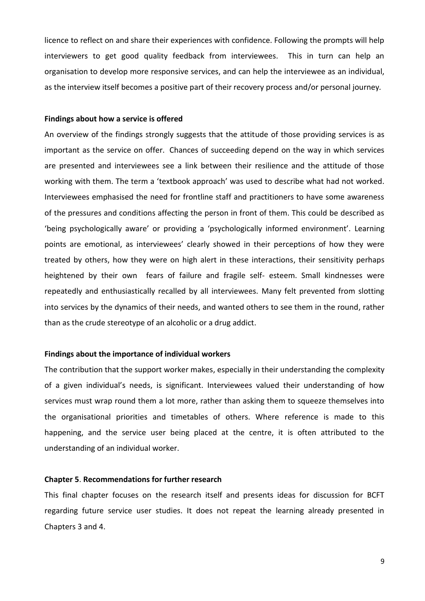licence to reflect on and share their experiences with confidence. Following the prompts will help interviewers to get good quality feedback from interviewees. This in turn can help an organisation to develop more responsive services, and can help the interviewee as an individual, as the interview itself becomes a positive part of their recovery process and/or personal journey*.*

#### **Findings about how a service is offered**

An overview of the findings strongly suggests that the attitude of those providing services is as important as the service on offer. Chances of succeeding depend on the way in which services are presented and interviewees see a link between their resilience and the attitude of those working with them. The term a 'textbook approach' was used to describe what had not worked. Interviewees emphasised the need for frontline staff and practitioners to have some awareness of the pressures and conditions affecting the person in front of them. This could be described as 'being psychologically aware' or providing a 'psychologically informed environment'. Learning points are emotional, as interviewees' clearly showed in their perceptions of how they were treated by others, how they were on high alert in these interactions, their sensitivity perhaps heightened by their own fears of failure and fragile self- esteem. Small kindnesses were repeatedly and enthusiastically recalled by all interviewees. Many felt prevented from slotting into services by the dynamics of their needs, and wanted others to see them in the round, rather than as the crude stereotype of an alcoholic or a drug addict.

#### **Findings about the importance of individual workers**

The contribution that the support worker makes, especially in their understanding the complexity of a given individual's needs, is significant. Interviewees valued their understanding of how services must wrap round them a lot more, rather than asking them to squeeze themselves into the organisational priorities and timetables of others. Where reference is made to this happening, and the service user being placed at the centre, it is often attributed to the understanding of an individual worker.

#### **Chapter 5**. **Recommendations for further research**

This final chapter focuses on the research itself and presents ideas for discussion for BCFT regarding future service user studies. It does not repeat the learning already presented in Chapters 3 and 4.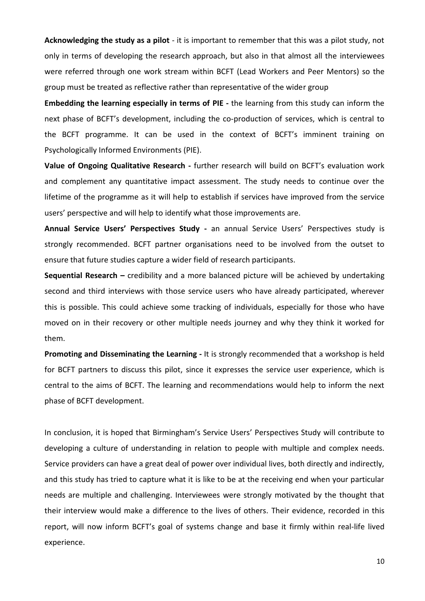**Acknowledging the study as a pilot** - it is important to remember that this was a pilot study, not only in terms of developing the research approach, but also in that almost all the interviewees were referred through one work stream within BCFT (Lead Workers and Peer Mentors) so the group must be treated as reflective rather than representative of the wider group

**Embedding the learning especially in terms of PIE -** the learning from this study can inform the next phase of BCFT's development, including the co-production of services, which is central to the BCFT programme. It can be used in the context of BCFT's imminent training on Psychologically Informed Environments (PIE).

**Value of Ongoing Qualitative Research -** further research will build on BCFT's evaluation work and complement any quantitative impact assessment. The study needs to continue over the lifetime of the programme as it will help to establish if services have improved from the service users' perspective and will help to identify what those improvements are.

**Annual Service Users' Perspectives Study -** an annual Service Users' Perspectives study is strongly recommended. BCFT partner organisations need to be involved from the outset to ensure that future studies capture a wider field of research participants.

**Sequential Research –** credibility and a more balanced picture will be achieved by undertaking second and third interviews with those service users who have already participated, wherever this is possible. This could achieve some tracking of individuals, especially for those who have moved on in their recovery or other multiple needs journey and why they think it worked for them.

**Promoting and Disseminating the Learning -** It is strongly recommended that a workshop is held for BCFT partners to discuss this pilot, since it expresses the service user experience, which is central to the aims of BCFT. The learning and recommendations would help to inform the next phase of BCFT development.

In conclusion, it is hoped that Birmingham's Service Users' Perspectives Study will contribute to developing a culture of understanding in relation to people with multiple and complex needs. Service providers can have a great deal of power over individual lives, both directly and indirectly, and this study has tried to capture what it is like to be at the receiving end when your particular needs are multiple and challenging. Interviewees were strongly motivated by the thought that their interview would make a difference to the lives of others. Their evidence, recorded in this report, will now inform BCFT's goal of systems change and base it firmly within real-life lived experience.

10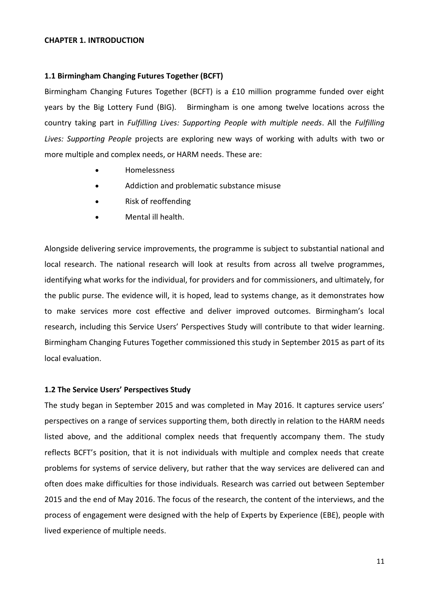#### **CHAPTER 1. INTRODUCTION**

## **1.1 Birmingham Changing Futures Together (BCFT)**

Birmingham Changing Futures Together (BCFT) is a £10 million programme funded over eight years by the Big Lottery Fund (BIG). Birmingham is one among twelve locations across the country taking part in *Fulfilling Lives: Supporting People with multiple needs*. All the *Fulfilling Lives: Supporting People* projects are exploring new ways of working with adults with two or more multiple and complex needs, or HARM needs. These are:

- Homelessness
- Addiction and problematic substance misuse
- Risk of reoffending
- Mental ill health.

Alongside delivering service improvements, the programme is subject to substantial national and local research. The national research will look at results from across all twelve programmes, identifying what works for the individual, for providers and for commissioners, and ultimately, for the public purse. The evidence will, it is hoped, lead to systems change, as it demonstrates how to make services more cost effective and deliver improved outcomes. Birmingham's local research, including this Service Users' Perspectives Study will contribute to that wider learning. Birmingham Changing Futures Together commissioned this study in September 2015 as part of its local evaluation.

# **1.2 The Service Users' Perspectives Study**

The study began in September 2015 and was completed in May 2016. It captures service users' perspectives on a range of services supporting them, both directly in relation to the HARM needs listed above, and the additional complex needs that frequently accompany them. The study reflects BCFT's position, that it is not individuals with multiple and complex needs that create problems for systems of service delivery, but rather that the way services are delivered can and often does make difficulties for those individuals. Research was carried out between September 2015 and the end of May 2016. The focus of the research, the content of the interviews, and the process of engagement were designed with the help of Experts by Experience (EBE), people with lived experience of multiple needs.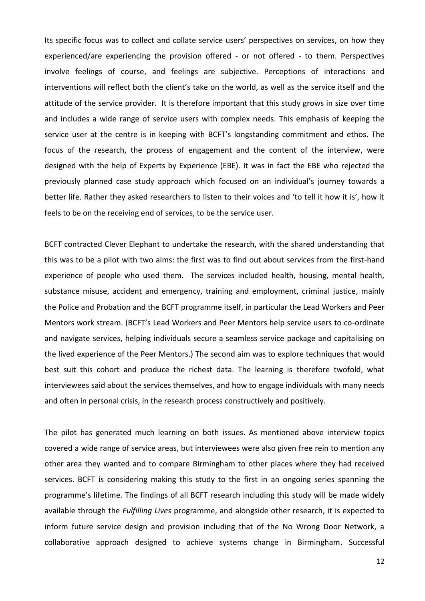Its specific focus was to collect and collate service users' perspectives on services, on how they experienced/are experiencing the provision offered - or not offered - to them. Perspectives involve feelings of course, and feelings are subjective. Perceptions of interactions and interventions will reflect both the client's take on the world, as well as the service itself and the attitude of the service provider. It is therefore important that this study grows in size over time and includes a wide range of service users with complex needs. This emphasis of keeping the service user at the centre is in keeping with BCFT's longstanding commitment and ethos. The focus of the research, the process of engagement and the content of the interview, were designed with the help of Experts by Experience (EBE). It was in fact the EBE who rejected the previously planned case study approach which focused on an individual's journey towards a better life. Rather they asked researchers to listen to their voices and 'to tell it how it is', how it feels to be on the receiving end of services, to be the service user.

BCFT contracted Clever Elephant to undertake the research, with the shared understanding that this was to be a pilot with two aims: the first was to find out about services from the first-hand experience of people who used them. The services included health, housing, mental health, substance misuse, accident and emergency, training and employment, criminal justice, mainly the Police and Probation and the BCFT programme itself, in particular the Lead Workers and Peer Mentors work stream. (BCFT's Lead Workers and Peer Mentors help service users to co-ordinate and navigate services, helping individuals secure a seamless service package and capitalising on the lived experience of the Peer Mentors.) The second aim was to explore techniques that would best suit this cohort and produce the richest data. The learning is therefore twofold, what interviewees said about the services themselves, and how to engage individuals with many needs and often in personal crisis, in the research process constructively and positively.

The pilot has generated much learning on both issues. As mentioned above interview topics covered a wide range of service areas, but interviewees were also given free rein to mention any other area they wanted and to compare Birmingham to other places where they had received services. BCFT is considering making this study to the first in an ongoing series spanning the programme's lifetime. The findings of all BCFT research including this study will be made widely available through the *Fulfilling Lives* programme, and alongside other research, it is expected to inform future service design and provision including that of the No Wrong Door Network, a collaborative approach designed to achieve systems change in Birmingham. Successful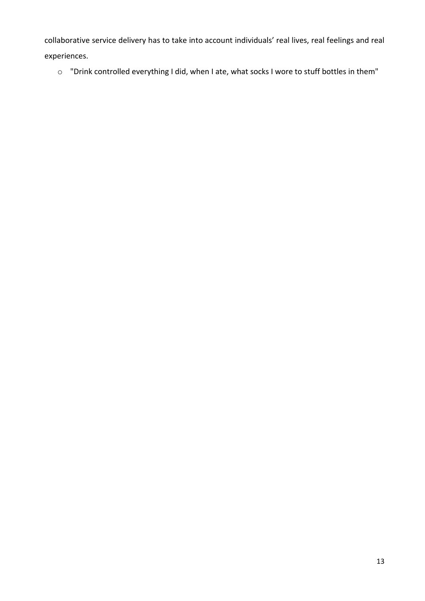collaborative service delivery has to take into account individuals' real lives, real feelings and real experiences.

o "Drink controlled everything I did, when I ate, what socks I wore to stuff bottles in them"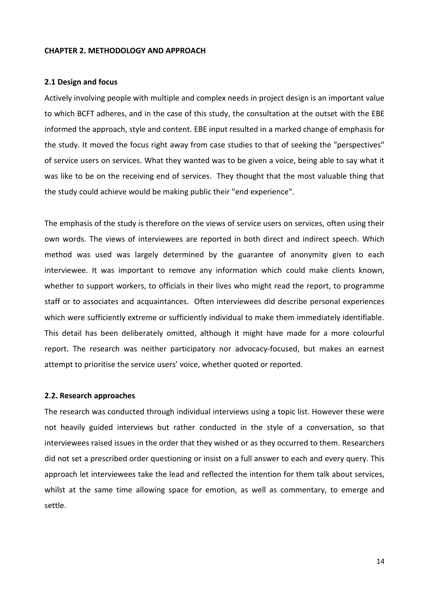#### **CHAPTER 2. METHODOLOGY AND APPROACH**

#### **2.1 Design and focus**

Actively involving people with multiple and complex needs in project design is an important value to which BCFT adheres, and in the case of this study, the consultation at the outset with the EBE informed the approach, style and content. EBE input resulted in a marked change of emphasis for the study. It moved the focus right away from case studies to that of seeking the "perspectives" of service users on services. What they wanted was to be given a voice, being able to say what it was like to be on the receiving end of services. They thought that the most valuable thing that the study could achieve would be making public their "end experience".

The emphasis of the study is therefore on the views of service users on services, often using their own words. The views of interviewees are reported in both direct and indirect speech. Which method was used was largely determined by the guarantee of anonymity given to each interviewee. It was important to remove any information which could make clients known, whether to support workers, to officials in their lives who might read the report, to programme staff or to associates and acquaintances. Often interviewees did describe personal experiences which were sufficiently extreme or sufficiently individual to make them immediately identifiable. This detail has been deliberately omitted, although it might have made for a more colourful report. The research was neither participatory nor advocacy-focused, but makes an earnest attempt to prioritise the service users' voice, whether quoted or reported.

#### **2.2. Research approaches**

The research was conducted through individual interviews using a topic list. However these were not heavily guided interviews but rather conducted in the style of a conversation, so that interviewees raised issues in the order that they wished or as they occurred to them. Researchers did not set a prescribed order questioning or insist on a full answer to each and every query. This approach let interviewees take the lead and reflected the intention for them talk about services, whilst at the same time allowing space for emotion, as well as commentary, to emerge and settle.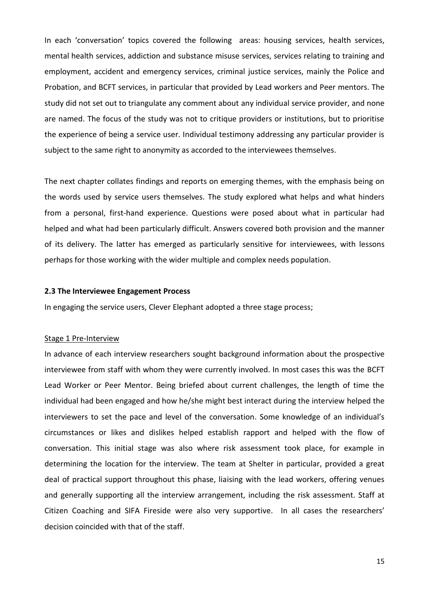In each 'conversation' topics covered the following areas: housing services, health services, mental health services, addiction and substance misuse services, services relating to training and employment, accident and emergency services, criminal justice services, mainly the Police and Probation, and BCFT services, in particular that provided by Lead workers and Peer mentors. The study did not set out to triangulate any comment about any individual service provider, and none are named. The focus of the study was not to critique providers or institutions, but to prioritise the experience of being a service user. Individual testimony addressing any particular provider is subject to the same right to anonymity as accorded to the interviewees themselves.

The next chapter collates findings and reports on emerging themes, with the emphasis being on the words used by service users themselves. The study explored what helps and what hinders from a personal, first-hand experience. Questions were posed about what in particular had helped and what had been particularly difficult. Answers covered both provision and the manner of its delivery. The latter has emerged as particularly sensitive for interviewees, with lessons perhaps for those working with the wider multiple and complex needs population.

#### **2.3 The Interviewee Engagement Process**

In engaging the service users, Clever Elephant adopted a three stage process;

#### Stage 1 Pre-Interview

In advance of each interview researchers sought background information about the prospective interviewee from staff with whom they were currently involved. In most cases this was the BCFT Lead Worker or Peer Mentor. Being briefed about current challenges, the length of time the individual had been engaged and how he/she might best interact during the interview helped the interviewers to set the pace and level of the conversation. Some knowledge of an individual's circumstances or likes and dislikes helped establish rapport and helped with the flow of conversation. This initial stage was also where risk assessment took place, for example in determining the location for the interview. The team at Shelter in particular, provided a great deal of practical support throughout this phase, liaising with the lead workers, offering venues and generally supporting all the interview arrangement, including the risk assessment. Staff at Citizen Coaching and SIFA Fireside were also very supportive. In all cases the researchers' decision coincided with that of the staff.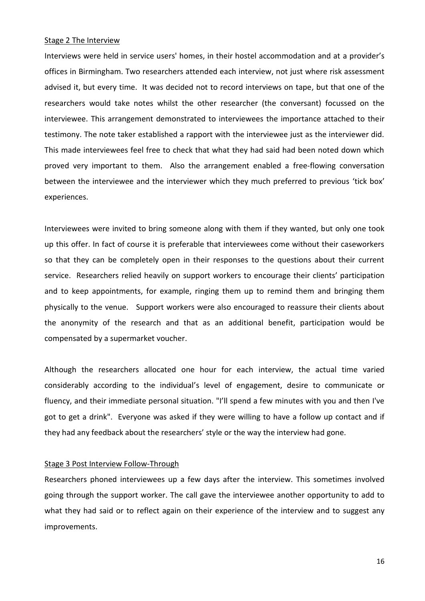#### Stage 2 The Interview

Interviews were held in service users' homes, in their hostel accommodation and at a provider's offices in Birmingham. Two researchers attended each interview, not just where risk assessment advised it, but every time. It was decided not to record interviews on tape, but that one of the researchers would take notes whilst the other researcher (the conversant) focussed on the interviewee. This arrangement demonstrated to interviewees the importance attached to their testimony. The note taker established a rapport with the interviewee just as the interviewer did. This made interviewees feel free to check that what they had said had been noted down which proved very important to them. Also the arrangement enabled a free-flowing conversation between the interviewee and the interviewer which they much preferred to previous 'tick box' experiences.

Interviewees were invited to bring someone along with them if they wanted, but only one took up this offer. In fact of course it is preferable that interviewees come without their caseworkers so that they can be completely open in their responses to the questions about their current service. Researchers relied heavily on support workers to encourage their clients' participation and to keep appointments, for example, ringing them up to remind them and bringing them physically to the venue. Support workers were also encouraged to reassure their clients about the anonymity of the research and that as an additional benefit, participation would be compensated by a supermarket voucher.

Although the researchers allocated one hour for each interview, the actual time varied considerably according to the individual's level of engagement, desire to communicate or fluency, and their immediate personal situation. "I'll spend a few minutes with you and then I've got to get a drink". Everyone was asked if they were willing to have a follow up contact and if they had any feedback about the researchers' style or the way the interview had gone.

#### Stage 3 Post Interview Follow-Through

Researchers phoned interviewees up a few days after the interview. This sometimes involved going through the support worker. The call gave the interviewee another opportunity to add to what they had said or to reflect again on their experience of the interview and to suggest any improvements.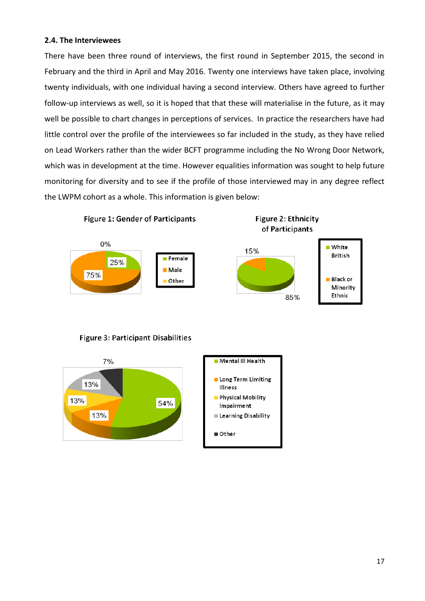# **2.4. The Interviewees**

There have been three round of interviews, the first round in September 2015, the second in February and the third in April and May 2016. Twenty one interviews have taken place, involving twenty individuals, with one individual having a second interview. Others have agreed to further follow-up interviews as well, so it is hoped that that these will materialise in the future, as it may well be possible to chart changes in perceptions of services. In practice the researchers have had little control over the profile of the interviewees so far included in the study, as they have relied on Lead Workers rather than the wider BCFT programme including the No Wrong Door Network, which was in development at the time. However equalities information was sought to help future monitoring for diversity and to see if the profile of those interviewed may in any degree reflect the LWPM cohort as a whole. This information is given below:



# **Figure 3: Participant Disabilities**

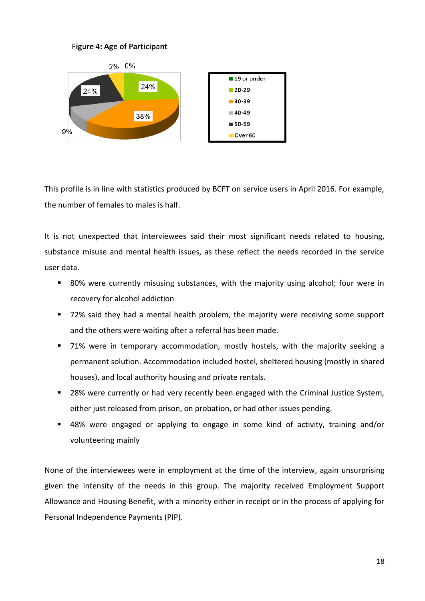



This profile is in line with statistics produced by BCFT on service users in April 2016. For example, the number of females to males is half.

It is not unexpected that interviewees said their most significant needs related to housing, substance misuse and mental health issues, as these reflect the needs recorded in the service user data.

- 80% were currently misusing substances, with the majority using alcohol; four were in recovery for alcohol addiction
- 72% said they had a mental health problem, the majority were receiving some support and the others were waiting after a referral has been made.
- 71% were in temporary accommodation, mostly hostels, with the majority seeking a permanent solution. Accommodation included hostel, sheltered housing (mostly in shared houses), and local authority housing and private rentals.
- 28% were currently or had very recently been engaged with the Criminal Justice System, either just released from prison, on probation, or had other issues pending.
- 48% were engaged or applying to engage in some kind of activity, training and/or volunteering mainly

None of the interviewees were in employment at the time of the interview, again unsurprising given the intensity of the needs in this group. The majority received Employment Support Allowance and Housing Benefit, with a minority either in receipt or in the process of applying for Personal Independence Payments (PIP).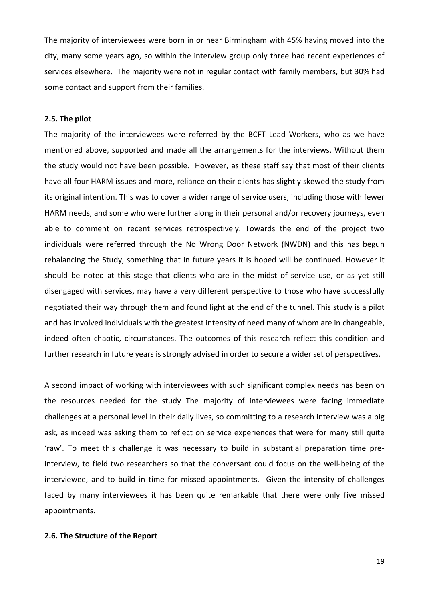The majority of interviewees were born in or near Birmingham with 45% having moved into the city, many some years ago, so within the interview group only three had recent experiences of services elsewhere. The majority were not in regular contact with family members, but 30% had some contact and support from their families.

#### **2.5. The pilot**

The majority of the interviewees were referred by the BCFT Lead Workers, who as we have mentioned above, supported and made all the arrangements for the interviews. Without them the study would not have been possible. However, as these staff say that most of their clients have all four HARM issues and more, reliance on their clients has slightly skewed the study from its original intention. This was to cover a wider range of service users, including those with fewer HARM needs, and some who were further along in their personal and/or recovery journeys, even able to comment on recent services retrospectively. Towards the end of the project two individuals were referred through the No Wrong Door Network (NWDN) and this has begun rebalancing the Study, something that in future years it is hoped will be continued. However it should be noted at this stage that clients who are in the midst of service use, or as yet still disengaged with services, may have a very different perspective to those who have successfully negotiated their way through them and found light at the end of the tunnel. This study is a pilot and has involved individuals with the greatest intensity of need many of whom are in changeable, indeed often chaotic, circumstances. The outcomes of this research reflect this condition and further research in future years is strongly advised in order to secure a wider set of perspectives.

A second impact of working with interviewees with such significant complex needs has been on the resources needed for the study The majority of interviewees were facing immediate challenges at a personal level in their daily lives, so committing to a research interview was a big ask, as indeed was asking them to reflect on service experiences that were for many still quite 'raw'. To meet this challenge it was necessary to build in substantial preparation time preinterview, to field two researchers so that the conversant could focus on the well-being of the interviewee, and to build in time for missed appointments. Given the intensity of challenges faced by many interviewees it has been quite remarkable that there were only five missed appointments.

# **2.6. The Structure of the Report**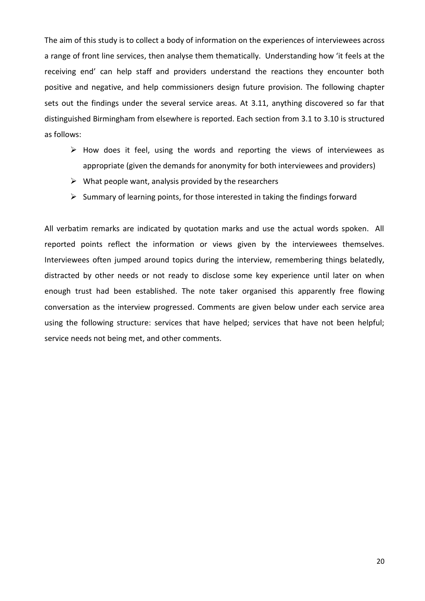The aim of this study is to collect a body of information on the experiences of interviewees across a range of front line services, then analyse them thematically. Understanding how 'it feels at the receiving end' can help staff and providers understand the reactions they encounter both positive and negative, and help commissioners design future provision. The following chapter sets out the findings under the several service areas. At 3.11, anything discovered so far that distinguished Birmingham from elsewhere is reported. Each section from 3.1 to 3.10 is structured as follows:

- $\triangleright$  How does it feel, using the words and reporting the views of interviewees as appropriate (given the demands for anonymity for both interviewees and providers)
- $\triangleright$  What people want, analysis provided by the researchers
- $\triangleright$  Summary of learning points, for those interested in taking the findings forward

All verbatim remarks are indicated by quotation marks and use the actual words spoken. All reported points reflect the information or views given by the interviewees themselves. Interviewees often jumped around topics during the interview, remembering things belatedly, distracted by other needs or not ready to disclose some key experience until later on when enough trust had been established. The note taker organised this apparently free flowing conversation as the interview progressed. Comments are given below under each service area using the following structure: services that have helped; services that have not been helpful; service needs not being met, and other comments.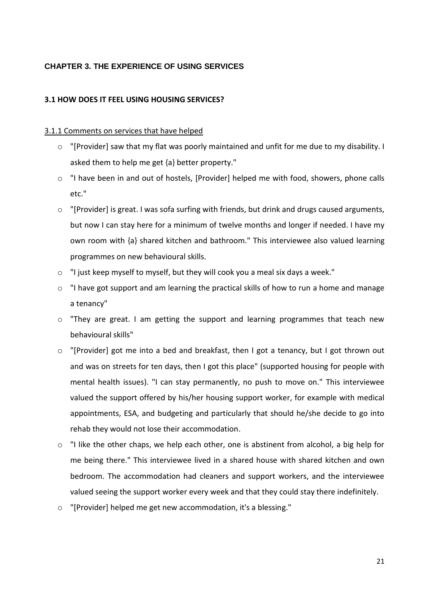# **CHAPTER 3. THE EXPERIENCE OF USING SERVICES**

# **3.1 HOW DOES IT FEEL USING HOUSING SERVICES?**

# 3.1.1 Comments on services that have helped

- o "[Provider] saw that my flat was poorly maintained and unfit for me due to my disability. I asked them to help me get {a} better property."
- $\circ$  "I have been in and out of hostels, [Provider] helped me with food, showers, phone calls etc."
- o "[Provider] is great. I was sofa surfing with friends, but drink and drugs caused arguments, but now I can stay here for a minimum of twelve months and longer if needed. I have my own room with {a} shared kitchen and bathroom." This interviewee also valued learning programmes on new behavioural skills.
- o "I just keep myself to myself, but they will cook you a meal six days a week."
- o "I have got support and am learning the practical skills of how to run a home and manage a tenancy"
- o "They are great. I am getting the support and learning programmes that teach new behavioural skills"
- o "[Provider] got me into a bed and breakfast, then I got a tenancy, but I got thrown out and was on streets for ten days, then I got this place" (supported housing for people with mental health issues). "I can stay permanently, no push to move on." This interviewee valued the support offered by his/her housing support worker, for example with medical appointments, ESA, and budgeting and particularly that should he/she decide to go into rehab they would not lose their accommodation.
- $\circ$  "I like the other chaps, we help each other, one is abstinent from alcohol, a big help for me being there." This interviewee lived in a shared house with shared kitchen and own bedroom. The accommodation had cleaners and support workers, and the interviewee valued seeing the support worker every week and that they could stay there indefinitely.
- o "[Provider] helped me get new accommodation, it's a blessing."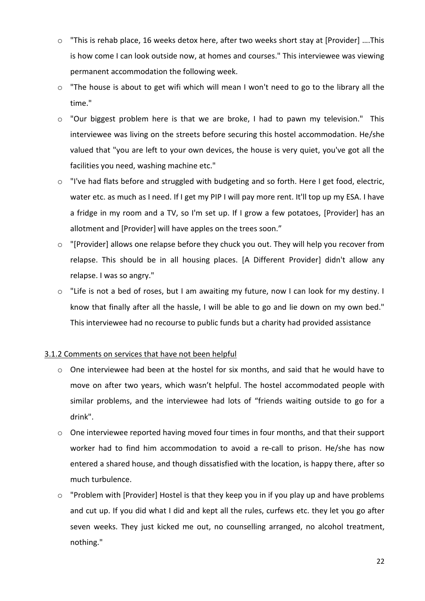- o "This is rehab place, 16 weeks detox here, after two weeks short stay at [Provider] ….This is how come I can look outside now, at homes and courses." This interviewee was viewing permanent accommodation the following week.
- o "The house is about to get wifi which will mean I won't need to go to the library all the time."
- o "Our biggest problem here is that we are broke, I had to pawn my television." This interviewee was living on the streets before securing this hostel accommodation. He/she valued that "you are left to your own devices, the house is very quiet, you've got all the facilities you need, washing machine etc."
- o "I've had flats before and struggled with budgeting and so forth. Here I get food, electric, water etc. as much as I need. If I get my PIP I will pay more rent. It'll top up my ESA. I have a fridge in my room and a TV, so I'm set up. If I grow a few potatoes, [Provider] has an allotment and [Provider] will have apples on the trees soon."
- o "[Provider] allows one relapse before they chuck you out. They will help you recover from relapse. This should be in all housing places. [A Different Provider] didn't allow any relapse. I was so angry."
- o "Life is not a bed of roses, but I am awaiting my future, now I can look for my destiny. I know that finally after all the hassle, I will be able to go and lie down on my own bed." This interviewee had no recourse to public funds but a charity had provided assistance

# 3.1.2 Comments on services that have not been helpful

- o One interviewee had been at the hostel for six months, and said that he would have to move on after two years, which wasn't helpful. The hostel accommodated people with similar problems, and the interviewee had lots of "friends waiting outside to go for a drink".
- o One interviewee reported having moved four times in four months, and that their support worker had to find him accommodation to avoid a re-call to prison. He/she has now entered a shared house, and though dissatisfied with the location, is happy there, after so much turbulence.
- o "Problem with [Provider] Hostel is that they keep you in if you play up and have problems and cut up. If you did what I did and kept all the rules, curfews etc. they let you go after seven weeks. They just kicked me out, no counselling arranged, no alcohol treatment, nothing."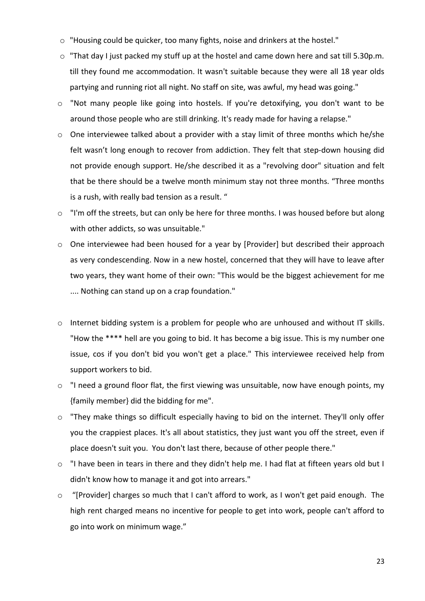- o "Housing could be quicker, too many fights, noise and drinkers at the hostel."
- o "That day I just packed my stuff up at the hostel and came down here and sat till 5.30p.m. till they found me accommodation. It wasn't suitable because they were all 18 year olds partying and running riot all night. No staff on site, was awful, my head was going."
- o "Not many people like going into hostels. If you're detoxifying, you don't want to be around those people who are still drinking. It's ready made for having a relapse."
- o One interviewee talked about a provider with a stay limit of three months which he/she felt wasn't long enough to recover from addiction. They felt that step-down housing did not provide enough support. He/she described it as a "revolving door" situation and felt that be there should be a twelve month minimum stay not three months. "Three months is a rush, with really bad tension as a result. "
- o "I'm off the streets, but can only be here for three months. I was housed before but along with other addicts, so was unsuitable."
- o One interviewee had been housed for a year by [Provider] but described their approach as very condescending. Now in a new hostel, concerned that they will have to leave after two years, they want home of their own: "This would be the biggest achievement for me .... Nothing can stand up on a crap foundation."
- o Internet bidding system is a problem for people who are unhoused and without IT skills. "How the \*\*\*\* hell are you going to bid. It has become a big issue. This is my number one issue, cos if you don't bid you won't get a place." This interviewee received help from support workers to bid.
- o "I need a ground floor flat, the first viewing was unsuitable, now have enough points, my {family member} did the bidding for me".
- o "They make things so difficult especially having to bid on the internet. They'll only offer you the crappiest places. It's all about statistics, they just want you off the street, even if place doesn't suit you. You don't last there, because of other people there."
- o "I have been in tears in there and they didn't help me. I had flat at fifteen years old but I didn't know how to manage it and got into arrears."
- o "[Provider] charges so much that I can't afford to work, as I won't get paid enough. The high rent charged means no incentive for people to get into work, people can't afford to go into work on minimum wage."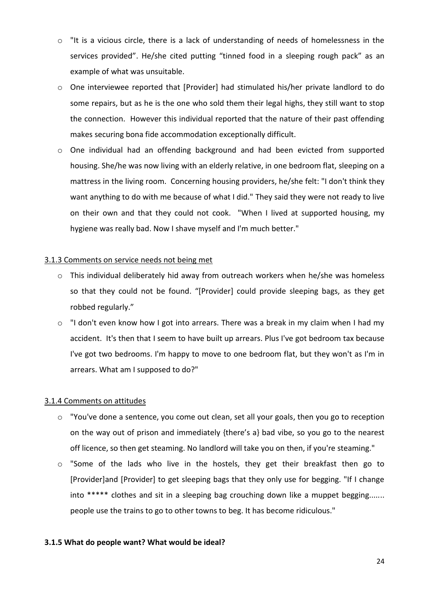- $\circ$  "It is a vicious circle, there is a lack of understanding of needs of homelessness in the services provided". He/she cited putting "tinned food in a sleeping rough pack" as an example of what was unsuitable.
- o One interviewee reported that [Provider] had stimulated his/her private landlord to do some repairs, but as he is the one who sold them their legal highs, they still want to stop the connection. However this individual reported that the nature of their past offending makes securing bona fide accommodation exceptionally difficult.
- o One individual had an offending background and had been evicted from supported housing. She/he was now living with an elderly relative, in one bedroom flat, sleeping on a mattress in the living room. Concerning housing providers, he/she felt: "I don't think they want anything to do with me because of what I did." They said they were not ready to live on their own and that they could not cook. "When I lived at supported housing, my hygiene was really bad. Now I shave myself and I'm much better."

# 3.1.3 Comments on service needs not being met

- o This individual deliberately hid away from outreach workers when he/she was homeless so that they could not be found. "[Provider] could provide sleeping bags, as they get robbed regularly."
- o "I don't even know how I got into arrears. There was a break in my claim when I had my accident. It's then that I seem to have built up arrears. Plus I've got bedroom tax because I've got two bedrooms. I'm happy to move to one bedroom flat, but they won't as I'm in arrears. What am I supposed to do?"

# 3.1.4 Comments on attitudes

- o "You've done a sentence, you come out clean, set all your goals, then you go to reception on the way out of prison and immediately {there's a} bad vibe, so you go to the nearest off licence, so then get steaming. No landlord will take you on then, if you're steaming."
- o "Some of the lads who live in the hostels, they get their breakfast then go to [Provider]and [Provider] to get sleeping bags that they only use for begging. "If I change into \*\*\*\*\* clothes and sit in a sleeping bag crouching down like a muppet begging....... people use the trains to go to other towns to beg. It has become ridiculous."

# **3.1.5 What do people want? What would be ideal?**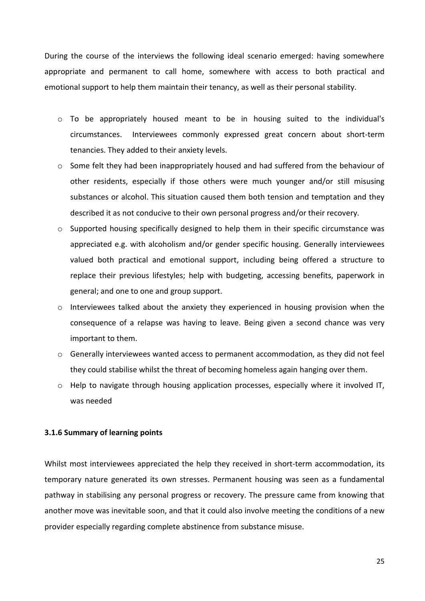During the course of the interviews the following ideal scenario emerged: having somewhere appropriate and permanent to call home, somewhere with access to both practical and emotional support to help them maintain their tenancy, as well as their personal stability.

- $\circ$  To be appropriately housed meant to be in housing suited to the individual's circumstances. Interviewees commonly expressed great concern about short-term tenancies. They added to their anxiety levels.
- o Some felt they had been inappropriately housed and had suffered from the behaviour of other residents, especially if those others were much younger and/or still misusing substances or alcohol. This situation caused them both tension and temptation and they described it as not conducive to their own personal progress and/or their recovery.
- $\circ$  Supported housing specifically designed to help them in their specific circumstance was appreciated e.g. with alcoholism and/or gender specific housing. Generally interviewees valued both practical and emotional support, including being offered a structure to replace their previous lifestyles; help with budgeting, accessing benefits, paperwork in general; and one to one and group support.
- o Interviewees talked about the anxiety they experienced in housing provision when the consequence of a relapse was having to leave. Being given a second chance was very important to them.
- o Generally interviewees wanted access to permanent accommodation, as they did not feel they could stabilise whilst the threat of becoming homeless again hanging over them.
- $\circ$  Help to navigate through housing application processes, especially where it involved IT, was needed

#### **3.1.6 Summary of learning points**

Whilst most interviewees appreciated the help they received in short-term accommodation, its temporary nature generated its own stresses. Permanent housing was seen as a fundamental pathway in stabilising any personal progress or recovery. The pressure came from knowing that another move was inevitable soon, and that it could also involve meeting the conditions of a new provider especially regarding complete abstinence from substance misuse.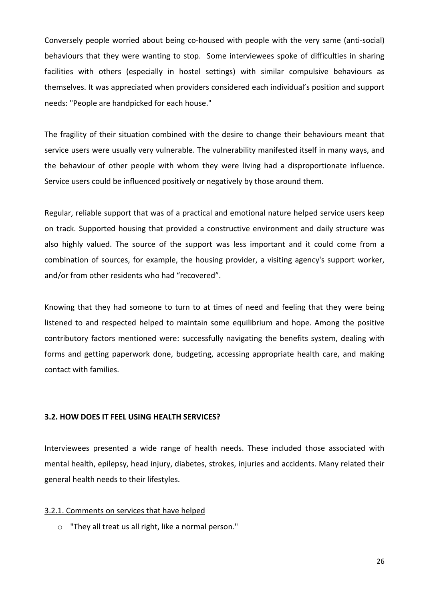Conversely people worried about being co-housed with people with the very same (anti-social) behaviours that they were wanting to stop. Some interviewees spoke of difficulties in sharing facilities with others (especially in hostel settings) with similar compulsive behaviours as themselves. It was appreciated when providers considered each individual's position and support needs: "People are handpicked for each house."

The fragility of their situation combined with the desire to change their behaviours meant that service users were usually very vulnerable. The vulnerability manifested itself in many ways, and the behaviour of other people with whom they were living had a disproportionate influence. Service users could be influenced positively or negatively by those around them.

Regular, reliable support that was of a practical and emotional nature helped service users keep on track. Supported housing that provided a constructive environment and daily structure was also highly valued. The source of the support was less important and it could come from a combination of sources, for example, the housing provider, a visiting agency's support worker, and/or from other residents who had "recovered".

Knowing that they had someone to turn to at times of need and feeling that they were being listened to and respected helped to maintain some equilibrium and hope. Among the positive contributory factors mentioned were: successfully navigating the benefits system, dealing with forms and getting paperwork done, budgeting, accessing appropriate health care, and making contact with families.

#### **3.2. HOW DOES IT FEEL USING HEALTH SERVICES?**

Interviewees presented a wide range of health needs. These included those associated with mental health, epilepsy, head injury, diabetes, strokes, injuries and accidents. Many related their general health needs to their lifestyles.

#### 3.2.1. Comments on services that have helped

o "They all treat us all right, like a normal person."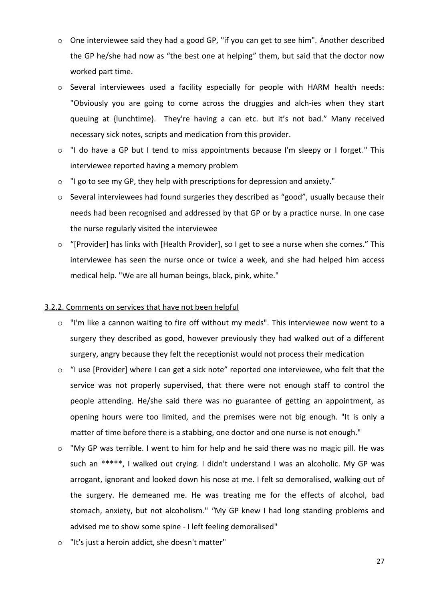- o One interviewee said they had a good GP, "if you can get to see him". Another described the GP he/she had now as "the best one at helping" them, but said that the doctor now worked part time.
- $\circ$  Several interviewees used a facility especially for people with HARM health needs: "Obviously you are going to come across the druggies and alch-ies when they start queuing at {lunchtime}. They're having a can etc. but it's not bad." Many received necessary sick notes, scripts and medication from this provider.
- o "I do have a GP but I tend to miss appointments because I'm sleepy or I forget." This interviewee reported having a memory problem
- o "I go to see my GP, they help with prescriptions for depression and anxiety."
- o Several interviewees had found surgeries they described as "good", usually because their needs had been recognised and addressed by that GP or by a practice nurse. In one case the nurse regularly visited the interviewee
- o "[Provider] has links with [Health Provider], so I get to see a nurse when she comes." This interviewee has seen the nurse once or twice a week, and she had helped him access medical help. "We are all human beings, black, pink, white."

# 3.2.2. Comments on services that have not been helpful

- o "I'm like a cannon waiting to fire off without my meds". This interviewee now went to a surgery they described as good, however previously they had walked out of a different surgery, angry because they felt the receptionist would not process their medication
- o "I use [Provider] where I can get a sick note" reported one interviewee, who felt that the service was not properly supervised, that there were not enough staff to control the people attending. He/she said there was no guarantee of getting an appointment, as opening hours were too limited, and the premises were not big enough. "It is only a matter of time before there is a stabbing, one doctor and one nurse is not enough."
- o "My GP was terrible. I went to him for help and he said there was no magic pill. He was such an \*\*\*\*\*, I walked out crying. I didn't understand I was an alcoholic. My GP was arrogant, ignorant and looked down his nose at me. I felt so demoralised, walking out of the surgery. He demeaned me. He was treating me for the effects of alcohol, bad stomach, anxiety, but not alcoholism." *"*My GP knew I had long standing problems and advised me to show some spine - I left feeling demoralised"
- o "It's just a heroin addict, she doesn't matter"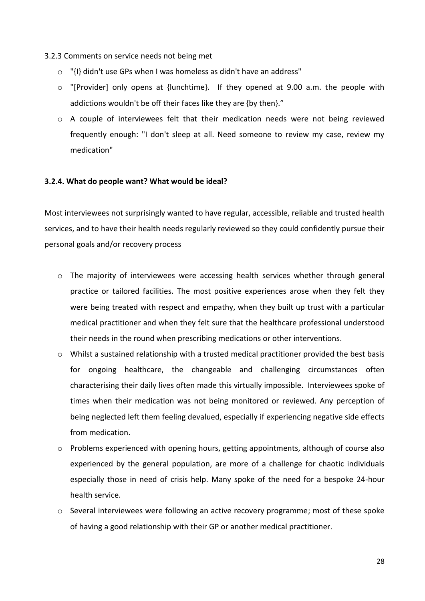# 3.2.3 Comments on service needs not being met

- o "{I} didn't use GPs when I was homeless as didn't have an address"
- o "[Provider] only opens at {lunchtime}. If they opened at 9.00 a.m. the people with addictions wouldn't be off their faces like they are {by then}."
- o A couple of interviewees felt that their medication needs were not being reviewed frequently enough: "I don't sleep at all. Need someone to review my case, review my medication"

# **3.2.4. What do people want? What would be ideal?**

Most interviewees not surprisingly wanted to have regular, accessible, reliable and trusted health services, and to have their health needs regularly reviewed so they could confidently pursue their personal goals and/or recovery process

- o The majority of interviewees were accessing health services whether through general practice or tailored facilities. The most positive experiences arose when they felt they were being treated with respect and empathy, when they built up trust with a particular medical practitioner and when they felt sure that the healthcare professional understood their needs in the round when prescribing medications or other interventions.
- $\circ$  Whilst a sustained relationship with a trusted medical practitioner provided the best basis for ongoing healthcare, the changeable and challenging circumstances often characterising their daily lives often made this virtually impossible. Interviewees spoke of times when their medication was not being monitored or reviewed. Any perception of being neglected left them feeling devalued, especially if experiencing negative side effects from medication.
- o Problems experienced with opening hours, getting appointments, although of course also experienced by the general population, are more of a challenge for chaotic individuals especially those in need of crisis help. Many spoke of the need for a bespoke 24-hour health service.
- o Several interviewees were following an active recovery programme; most of these spoke of having a good relationship with their GP or another medical practitioner.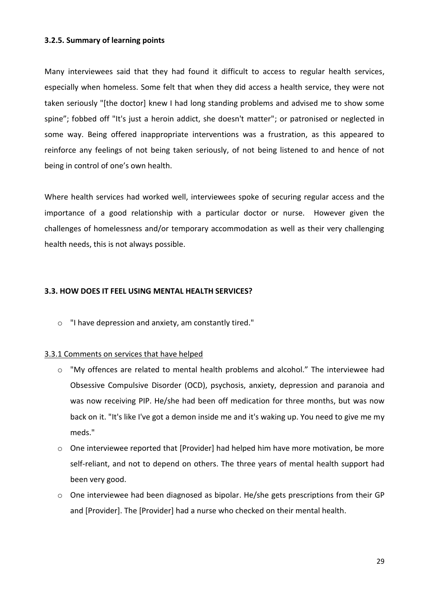# **3.2.5. Summary of learning points**

Many interviewees said that they had found it difficult to access to regular health services, especially when homeless. Some felt that when they did access a health service, they were not taken seriously "[the doctor] knew I had long standing problems and advised me to show some spine"; fobbed off "It's just a heroin addict, she doesn't matter"; or patronised or neglected in some way. Being offered inappropriate interventions was a frustration, as this appeared to reinforce any feelings of not being taken seriously, of not being listened to and hence of not being in control of one's own health.

Where health services had worked well, interviewees spoke of securing regular access and the importance of a good relationship with a particular doctor or nurse. However given the challenges of homelessness and/or temporary accommodation as well as their very challenging health needs, this is not always possible.

## **3.3. HOW DOES IT FEEL USING MENTAL HEALTH SERVICES?**

o "I have depression and anxiety, am constantly tired."

# 3.3.1 Comments on services that have helped

- o "My offences are related to mental health problems and alcohol." The interviewee had Obsessive Compulsive Disorder (OCD), psychosis, anxiety, depression and paranoia and was now receiving PIP. He/she had been off medication for three months, but was now back on it. "It's like I've got a demon inside me and it's waking up. You need to give me my meds."
- o One interviewee reported that [Provider] had helped him have more motivation, be more self-reliant, and not to depend on others. The three years of mental health support had been very good.
- o One interviewee had been diagnosed as bipolar. He/she gets prescriptions from their GP and [Provider]. The [Provider] had a nurse who checked on their mental health.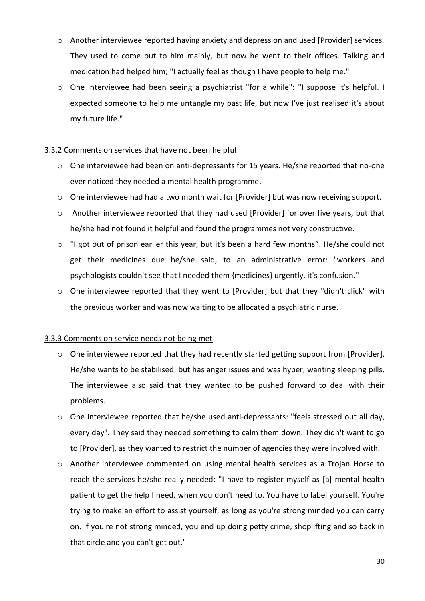- o Another interviewee reported having anxiety and depression and used [Provider] services. They used to come out to him mainly, but now he went to their offices. Talking and medication had helped him; "I actually feel as though I have people to help me."
- o One interviewee had been seeing a psychiatrist "for a while": "I suppose it's helpful. I expected someone to help me untangle my past life, but now I've just realised it's about my future life."

# 3.3.2 Comments on services that have not been helpful

- o One interviewee had been on anti-depressants for 15 years. He/she reported that no-one ever noticed they needed a mental health programme.
- o One interviewee had had a two month wait for [Provider] but was now receiving support.
- o Another interviewee reported that they had used [Provider] for over five years, but that he/she had not found it helpful and found the programmes not very constructive.
- o "I got out of prison earlier this year, but it's been a hard few months". He/she could not get their medicines due he/she said, to an administrative error: "workers and psychologists couldn't see that I needed them {medicines} urgently, it's confusion."
- o One interviewee reported that they went to [Provider] but that they "didn't click" with the previous worker and was now waiting to be allocated a psychiatric nurse.

# 3.3.3 Comments on service needs not being met

- $\circ$  One interviewee reported that they had recently started getting support from [Provider]. He/she wants to be stabilised, but has anger issues and was hyper, wanting sleeping pills. The interviewee also said that they wanted to be pushed forward to deal with their problems.
- o One interviewee reported that he/she used anti-depressants: "feels stressed out all day, every day". They said they needed something to calm them down. They didn't want to go to [Provider], as they wanted to restrict the number of agencies they were involved with.
- o Another interviewee commented on using mental health services as a Trojan Horse to reach the services he/she really needed: "I have to register myself as [a] mental health patient to get the help I need, when you don't need to. You have to label yourself. You're trying to make an effort to assist yourself, as long as you're strong minded you can carry on. If you're not strong minded, you end up doing petty crime, shoplifting and so back in that circle and you can't get out."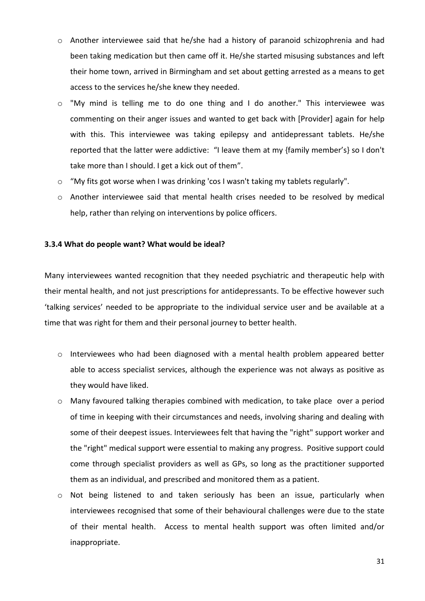- o Another interviewee said that he/she had a history of paranoid schizophrenia and had been taking medication but then came off it. He/she started misusing substances and left their home town, arrived in Birmingham and set about getting arrested as a means to get access to the services he/she knew they needed.
- o "My mind is telling me to do one thing and I do another." This interviewee was commenting on their anger issues and wanted to get back with [Provider] again for help with this. This interviewee was taking epilepsy and antidepressant tablets. He/she reported that the latter were addictive: "I leave them at my {family member's} so I don't take more than I should. I get a kick out of them".
- o "My fits got worse when I was drinking 'cos I wasn't taking my tablets regularly".
- o Another interviewee said that mental health crises needed to be resolved by medical help, rather than relying on interventions by police officers.

# **3.3.4 What do people want? What would be ideal?**

Many interviewees wanted recognition that they needed psychiatric and therapeutic help with their mental health, and not just prescriptions for antidepressants. To be effective however such 'talking services' needed to be appropriate to the individual service user and be available at a time that was right for them and their personal journey to better health.

- o Interviewees who had been diagnosed with a mental health problem appeared better able to access specialist services, although the experience was not always as positive as they would have liked.
- o Many favoured talking therapies combined with medication, to take place over a period of time in keeping with their circumstances and needs, involving sharing and dealing with some of their deepest issues. Interviewees felt that having the "right" support worker and the "right" medical support were essential to making any progress. Positive support could come through specialist providers as well as GPs, so long as the practitioner supported them as an individual, and prescribed and monitored them as a patient.
- o Not being listened to and taken seriously has been an issue, particularly when interviewees recognised that some of their behavioural challenges were due to the state of their mental health. Access to mental health support was often limited and/or inappropriate.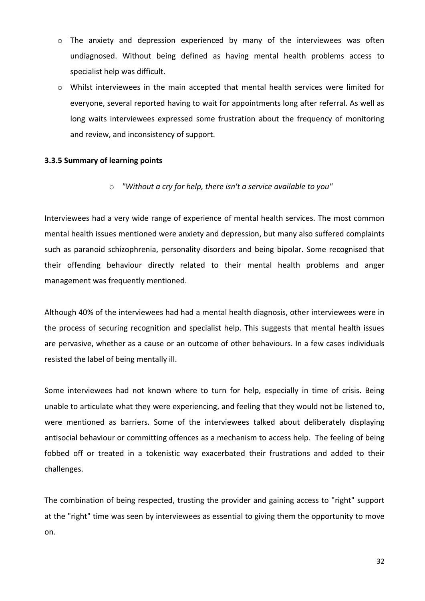- $\circ$  The anxiety and depression experienced by many of the interviewees was often undiagnosed. Without being defined as having mental health problems access to specialist help was difficult.
- o Whilst interviewees in the main accepted that mental health services were limited for everyone, several reported having to wait for appointments long after referral. As well as long waits interviewees expressed some frustration about the frequency of monitoring and review, and inconsistency of support.

# **3.3.5 Summary of learning points**

o *"Without a cry for help, there isn't a service available to you"*

Interviewees had a very wide range of experience of mental health services. The most common mental health issues mentioned were anxiety and depression, but many also suffered complaints such as paranoid schizophrenia, personality disorders and being bipolar. Some recognised that their offending behaviour directly related to their mental health problems and anger management was frequently mentioned.

Although 40% of the interviewees had had a mental health diagnosis, other interviewees were in the process of securing recognition and specialist help. This suggests that mental health issues are pervasive, whether as a cause or an outcome of other behaviours. In a few cases individuals resisted the label of being mentally ill.

Some interviewees had not known where to turn for help, especially in time of crisis. Being unable to articulate what they were experiencing, and feeling that they would not be listened to, were mentioned as barriers. Some of the interviewees talked about deliberately displaying antisocial behaviour or committing offences as a mechanism to access help. The feeling of being fobbed off or treated in a tokenistic way exacerbated their frustrations and added to their challenges.

The combination of being respected, trusting the provider and gaining access to "right" support at the "right" time was seen by interviewees as essential to giving them the opportunity to move on.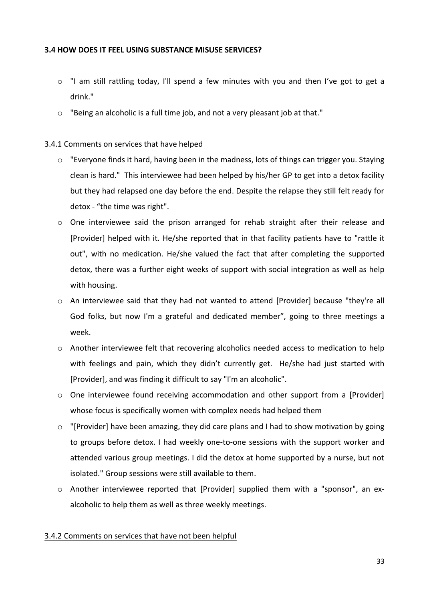# **3.4 HOW DOES IT FEEL USING SUBSTANCE MISUSE SERVICES?**

- o "I am still rattling today, I'll spend a few minutes with you and then I've got to get a drink."
- o "Being an alcoholic is a full time job, and not a very pleasant job at that."

# 3.4.1 Comments on services that have helped

- o "Everyone finds it hard, having been in the madness, lots of things can trigger you. Staying clean is hard." This interviewee had been helped by his/her GP to get into a detox facility but they had relapsed one day before the end. Despite the relapse they still felt ready for detox - "the time was right".
- $\circ$  One interviewee said the prison arranged for rehab straight after their release and [Provider] helped with it. He/she reported that in that facility patients have to "rattle it out", with no medication. He/she valued the fact that after completing the supported detox, there was a further eight weeks of support with social integration as well as help with housing.
- o An interviewee said that they had not wanted to attend [Provider] because "they're all God folks, but now I'm a grateful and dedicated member", going to three meetings a week.
- $\circ$  Another interviewee felt that recovering alcoholics needed access to medication to help with feelings and pain, which they didn't currently get. He/she had just started with [Provider], and was finding it difficult to say "I'm an alcoholic".
- $\circ$  One interviewee found receiving accommodation and other support from a [Provider] whose focus is specifically women with complex needs had helped them
- $\circ$  "[Provider] have been amazing, they did care plans and I had to show motivation by going to groups before detox. I had weekly one-to-one sessions with the support worker and attended various group meetings. I did the detox at home supported by a nurse, but not isolated." Group sessions were still available to them.
- $\circ$  Another interviewee reported that [Provider] supplied them with a "sponsor", an exalcoholic to help them as well as three weekly meetings.

# 3.4.2 Comments on services that have not been helpful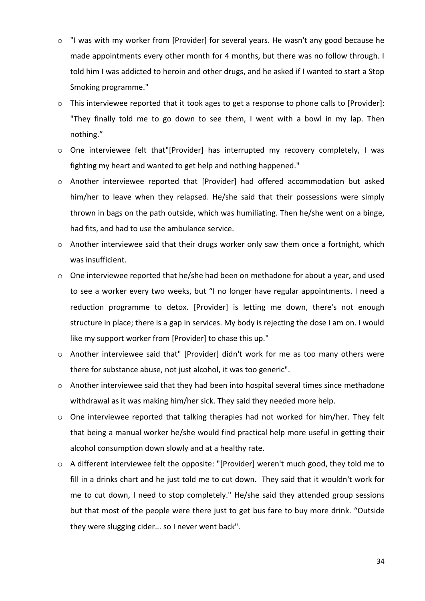- o "I was with my worker from [Provider] for several years. He wasn't any good because he made appointments every other month for 4 months, but there was no follow through. I told him I was addicted to heroin and other drugs, and he asked if I wanted to start a Stop Smoking programme."
- o This interviewee reported that it took ages to get a response to phone calls to [Provider]: "They finally told me to go down to see them, I went with a bowl in my lap. Then nothing."
- o One interviewee felt that"[Provider] has interrupted my recovery completely, I was fighting my heart and wanted to get help and nothing happened."
- o Another interviewee reported that [Provider] had offered accommodation but asked him/her to leave when they relapsed. He/she said that their possessions were simply thrown in bags on the path outside, which was humiliating. Then he/she went on a binge, had fits, and had to use the ambulance service.
- $\circ$  Another interviewee said that their drugs worker only saw them once a fortnight, which was insufficient.
- o One interviewee reported that he/she had been on methadone for about a year, and used to see a worker every two weeks, but "I no longer have regular appointments. I need a reduction programme to detox. [Provider] is letting me down, there's not enough structure in place; there is a gap in services. My body is rejecting the dose I am on. I would like my support worker from [Provider] to chase this up."
- o Another interviewee said that" [Provider] didn't work for me as too many others were there for substance abuse, not just alcohol, it was too generic".
- o Another interviewee said that they had been into hospital several times since methadone withdrawal as it was making him/her sick. They said they needed more help.
- o One interviewee reported that talking therapies had not worked for him/her. They felt that being a manual worker he/she would find practical help more useful in getting their alcohol consumption down slowly and at a healthy rate.
- o A different interviewee felt the opposite: "[Provider] weren't much good, they told me to fill in a drinks chart and he just told me to cut down. They said that it wouldn't work for me to cut down, I need to stop completely." He/she said they attended group sessions but that most of the people were there just to get bus fare to buy more drink. "Outside they were slugging cider... so I never went back".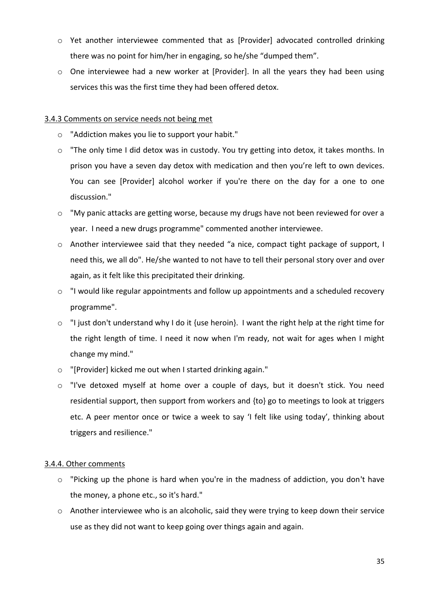- o Yet another interviewee commented that as [Provider] advocated controlled drinking there was no point for him/her in engaging, so he/she "dumped them".
- $\circ$  One interviewee had a new worker at [Provider]. In all the years they had been using services this was the first time they had been offered detox.

# 3.4.3 Comments on service needs not being met

- o "Addiction makes you lie to support your habit."
- o "The only time I did detox was in custody. You try getting into detox, it takes months. In prison you have a seven day detox with medication and then you're left to own devices. You can see [Provider] alcohol worker if you're there on the day for a one to one discussion."
- o "My panic attacks are getting worse, because my drugs have not been reviewed for over a year. I need a new drugs programme" commented another interviewee.
- o Another interviewee said that they needed "a nice, compact tight package of support, I need this, we all do". He/she wanted to not have to tell their personal story over and over again, as it felt like this precipitated their drinking.
- o "I would like regular appointments and follow up appointments and a scheduled recovery programme".
- $\circ$  "I just don't understand why I do it {use heroin}. I want the right help at the right time for the right length of time. I need it now when I'm ready, not wait for ages when I might change my mind."
- o "[Provider] kicked me out when I started drinking again."
- o "I've detoxed myself at home over a couple of days, but it doesn't stick. You need residential support, then support from workers and {to} go to meetings to look at triggers etc. A peer mentor once or twice a week to say 'I felt like using today', thinking about triggers and resilience."

# 3.4.4. Other comments

- o "Picking up the phone is hard when you're in the madness of addiction, you don't have the money, a phone etc., so it's hard."
- o Another interviewee who is an alcoholic, said they were trying to keep down their service use as they did not want to keep going over things again and again.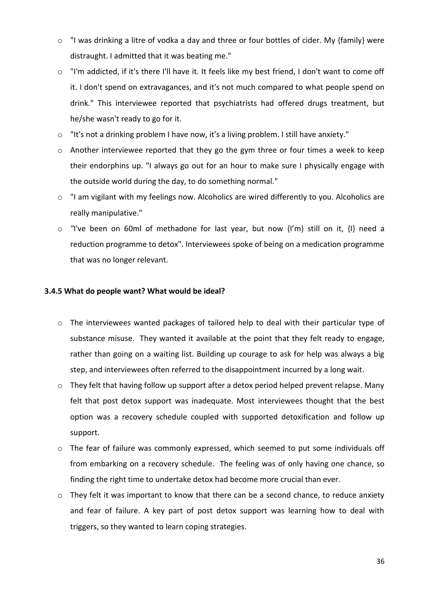- $\circ$  "I was drinking a litre of vodka a day and three or four bottles of cider. My {family} were distraught. I admitted that it was beating me."
- o "I'm addicted, if it's there I'll have it. It feels like my best friend, I don't want to come off it. I don't spend on extravagances, and it's not much compared to what people spend on drink." This interviewee reported that psychiatrists had offered drugs treatment, but he/she wasn't ready to go for it.
- o "It's not a drinking problem I have now, it's a living problem. I still have anxiety."
- o Another interviewee reported that they go the gym three or four times a week to keep their endorphins up. "I always go out for an hour to make sure I physically engage with the outside world during the day, to do something normal."
- o "I am vigilant with my feelings now. Alcoholics are wired differently to you. Alcoholics are really manipulative."
- o *"*I've been on 60ml of methadone for last year, but now {I'm} still on it, {I} need a reduction programme to detox". Interviewees spoke of being on a medication programme that was no longer relevant.

# **3.4.5 What do people want? What would be ideal?**

- o The interviewees wanted packages of tailored help to deal with their particular type of substance misuse. They wanted it available at the point that they felt ready to engage, rather than going on a waiting list. Building up courage to ask for help was always a big step, and interviewees often referred to the disappointment incurred by a long wait.
- o They felt that having follow up support after a detox period helped prevent relapse. Many felt that post detox support was inadequate. Most interviewees thought that the best option was a recovery schedule coupled with supported detoxification and follow up support.
- o The fear of failure was commonly expressed, which seemed to put some individuals off from embarking on a recovery schedule. The feeling was of only having one chance, so finding the right time to undertake detox had become more crucial than ever.
- o They felt it was important to know that there can be a second chance, to reduce anxiety and fear of failure. A key part of post detox support was learning how to deal with triggers, so they wanted to learn coping strategies.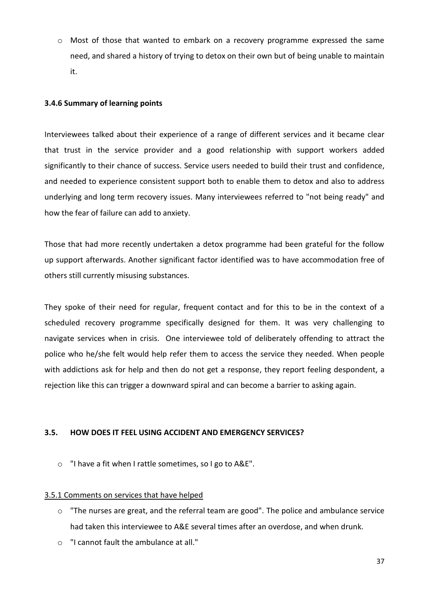o Most of those that wanted to embark on a recovery programme expressed the same need, and shared a history of trying to detox on their own but of being unable to maintain it.

#### **3.4.6 Summary of learning points**

Interviewees talked about their experience of a range of different services and it became clear that trust in the service provider and a good relationship with support workers added significantly to their chance of success. Service users needed to build their trust and confidence, and needed to experience consistent support both to enable them to detox and also to address underlying and long term recovery issues. Many interviewees referred to "not being ready" and how the fear of failure can add to anxiety.

Those that had more recently undertaken a detox programme had been grateful for the follow up support afterwards. Another significant factor identified was to have accommodation free of others still currently misusing substances.

They spoke of their need for regular, frequent contact and for this to be in the context of a scheduled recovery programme specifically designed for them. It was very challenging to navigate services when in crisis. One interviewee told of deliberately offending to attract the police who he/she felt would help refer them to access the service they needed. When people with addictions ask for help and then do not get a response, they report feeling despondent, a rejection like this can trigger a downward spiral and can become a barrier to asking again.

#### **3.5. HOW DOES IT FEEL USING ACCIDENT AND EMERGENCY SERVICES?**

o "I have a fit when I rattle sometimes, so I go to A&E".

#### 3.5.1 Comments on services that have helped

- o "The nurses are great, and the referral team are good". The police and ambulance service had taken this interviewee to A&E several times after an overdose, and when drunk.
- o "I cannot fault the ambulance at all."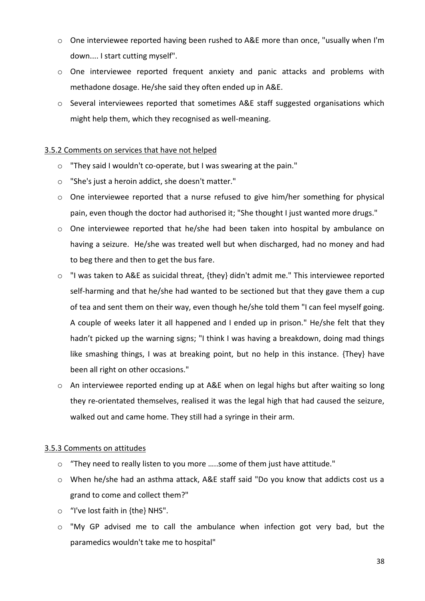- $\circ$  One interviewee reported having been rushed to A&E more than once, "usually when I'm down.... I start cutting myself".
- o One interviewee reported frequent anxiety and panic attacks and problems with methadone dosage. He/she said they often ended up in A&E.
- $\circ$  Several interviewees reported that sometimes A&E staff suggested organisations which might help them, which they recognised as well-meaning.

#### 3.5.2 Comments on services that have not helped

- o "They said I wouldn't co-operate, but I was swearing at the pain."
- o "She's just a heroin addict, she doesn't matter."
- o One interviewee reported that a nurse refused to give him/her something for physical pain, even though the doctor had authorised it; "She thought I just wanted more drugs."
- o One interviewee reported that he/she had been taken into hospital by ambulance on having a seizure. He/she was treated well but when discharged, had no money and had to beg there and then to get the bus fare.
- o "I was taken to A&E as suicidal threat, {they} didn't admit me." This interviewee reported self-harming and that he/she had wanted to be sectioned but that they gave them a cup of tea and sent them on their way, even though he/she told them "I can feel myself going. A couple of weeks later it all happened and I ended up in prison." He/she felt that they hadn't picked up the warning signs; "I think I was having a breakdown, doing mad things like smashing things, I was at breaking point, but no help in this instance. {They} have been all right on other occasions."
- o An interviewee reported ending up at A&E when on legal highs but after waiting so long they re-orientated themselves, realised it was the legal high that had caused the seizure, walked out and came home. They still had a syringe in their arm.

#### 3.5.3 Comments on attitudes

- o "They need to really listen to you more …..some of them just have attitude."
- o When he/she had an asthma attack, A&E staff said "Do you know that addicts cost us a grand to come and collect them?"
- o "I've lost faith in {the} NHS".
- o "My GP advised me to call the ambulance when infection got very bad, but the paramedics wouldn't take me to hospital"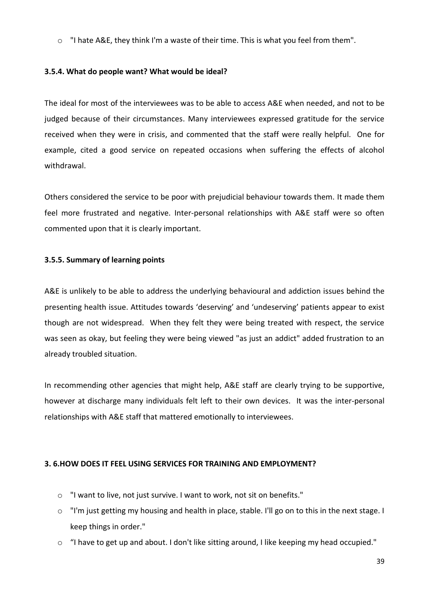$\circ$  "I hate A&E, they think I'm a waste of their time. This is what you feel from them".

#### **3.5.4. What do people want? What would be ideal?**

The ideal for most of the interviewees was to be able to access A&E when needed, and not to be judged because of their circumstances. Many interviewees expressed gratitude for the service received when they were in crisis, and commented that the staff were really helpful. One for example, cited a good service on repeated occasions when suffering the effects of alcohol withdrawal.

Others considered the service to be poor with prejudicial behaviour towards them. It made them feel more frustrated and negative. Inter-personal relationships with A&E staff were so often commented upon that it is clearly important.

#### **3.5.5. Summary of learning points**

A&E is unlikely to be able to address the underlying behavioural and addiction issues behind the presenting health issue. Attitudes towards 'deserving' and 'undeserving' patients appear to exist though are not widespread. When they felt they were being treated with respect, the service was seen as okay, but feeling they were being viewed "as just an addict" added frustration to an already troubled situation.

In recommending other agencies that might help, A&E staff are clearly trying to be supportive, however at discharge many individuals felt left to their own devices. It was the inter-personal relationships with A&E staff that mattered emotionally to interviewees.

#### **3. 6.HOW DOES IT FEEL USING SERVICES FOR TRAINING AND EMPLOYMENT?**

- o "I want to live, not just survive. I want to work, not sit on benefits."
- o "I'm just getting my housing and health in place, stable. I'll go on to this in the next stage. I keep things in order."
- o "I have to get up and about. I don't like sitting around, I like keeping my head occupied."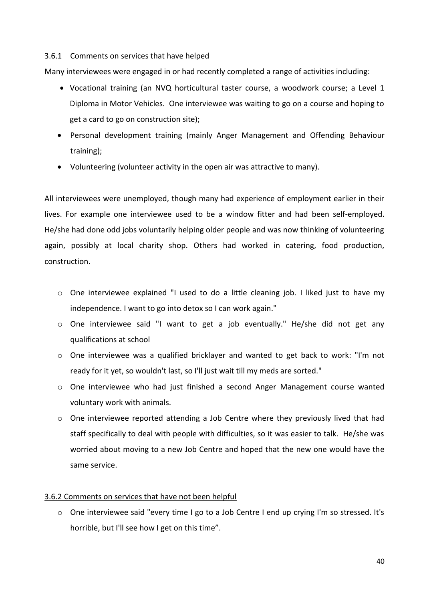#### 3.6.1 Comments on services that have helped

Many interviewees were engaged in or had recently completed a range of activities including:

- Vocational training (an NVQ horticultural taster course, a woodwork course; a Level 1 Diploma in Motor Vehicles. One interviewee was waiting to go on a course and hoping to get a card to go on construction site);
- Personal development training (mainly Anger Management and Offending Behaviour training);
- Volunteering (volunteer activity in the open air was attractive to many).

All interviewees were unemployed, though many had experience of employment earlier in their lives. For example one interviewee used to be a window fitter and had been self-employed. He/she had done odd jobs voluntarily helping older people and was now thinking of volunteering again, possibly at local charity shop. Others had worked in catering, food production, construction.

- o One interviewee explained "I used to do a little cleaning job. I liked just to have my independence. I want to go into detox so I can work again."
- o One interviewee said "I want to get a job eventually." He/she did not get any qualifications at school
- o One interviewee was a qualified bricklayer and wanted to get back to work: "I'm not ready for it yet, so wouldn't last, so I'll just wait till my meds are sorted."
- $\circ$  One interviewee who had just finished a second Anger Management course wanted voluntary work with animals.
- $\circ$  One interviewee reported attending a Job Centre where they previously lived that had staff specifically to deal with people with difficulties, so it was easier to talk. He/she was worried about moving to a new Job Centre and hoped that the new one would have the same service.

#### 3.6.2 Comments on services that have not been helpful

 $\circ$  One interviewee said "every time I go to a Job Centre I end up crying I'm so stressed. It's horrible, but I'll see how I get on this time".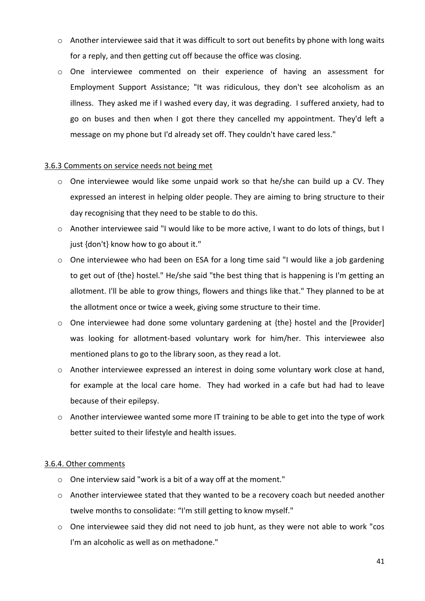- $\circ$  Another interviewee said that it was difficult to sort out benefits by phone with long waits for a reply, and then getting cut off because the office was closing.
- o One interviewee commented on their experience of having an assessment for Employment Support Assistance; "It was ridiculous, they don't see alcoholism as an illness. They asked me if I washed every day, it was degrading. I suffered anxiety, had to go on buses and then when I got there they cancelled my appointment. They'd left a message on my phone but I'd already set off. They couldn't have cared less."

#### 3.6.3 Comments on service needs not being met

- o One interviewee would like some unpaid work so that he/she can build up a CV. They expressed an interest in helping older people. They are aiming to bring structure to their day recognising that they need to be stable to do this.
- o Another interviewee said "I would like to be more active, I want to do lots of things, but I just {don't} know how to go about it."
- $\circ$  One interviewee who had been on ESA for a long time said "I would like a job gardening to get out of {the} hostel." He/she said "the best thing that is happening is I'm getting an allotment. I'll be able to grow things, flowers and things like that." They planned to be at the allotment once or twice a week, giving some structure to their time.
- o One interviewee had done some voluntary gardening at {the} hostel and the [Provider] was looking for allotment-based voluntary work for him/her. This interviewee also mentioned plans to go to the library soon, as they read a lot.
- o Another interviewee expressed an interest in doing some voluntary work close at hand, for example at the local care home. They had worked in a cafe but had had to leave because of their epilepsy.
- o Another interviewee wanted some more IT training to be able to get into the type of work better suited to their lifestyle and health issues.

#### 3.6.4. Other comments

- o One interview said "work is a bit of a way off at the moment."
- o Another interviewee stated that they wanted to be a recovery coach but needed another twelve months to consolidate: "I'm still getting to know myself."
- o One interviewee said they did not need to job hunt, as they were not able to work "cos I'm an alcoholic as well as on methadone."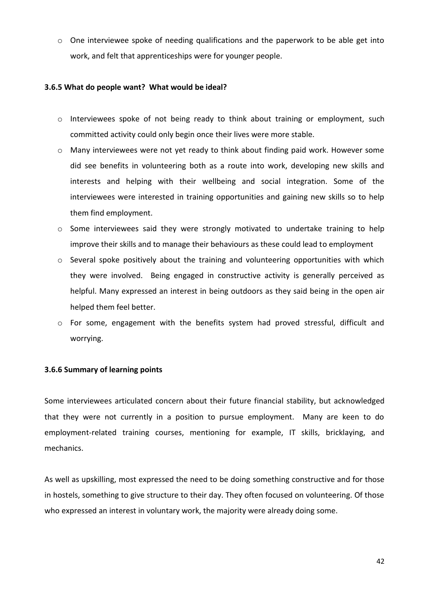$\circ$  One interviewee spoke of needing qualifications and the paperwork to be able get into work, and felt that apprenticeships were for younger people.

#### **3.6.5 What do people want? What would be ideal?**

- o Interviewees spoke of not being ready to think about training or employment, such committed activity could only begin once their lives were more stable.
- o Many interviewees were not yet ready to think about finding paid work. However some did see benefits in volunteering both as a route into work, developing new skills and interests and helping with their wellbeing and social integration. Some of the interviewees were interested in training opportunities and gaining new skills so to help them find employment.
- o Some interviewees said they were strongly motivated to undertake training to help improve their skills and to manage their behaviours as these could lead to employment
- $\circ$  Several spoke positively about the training and volunteering opportunities with which they were involved. Being engaged in constructive activity is generally perceived as helpful. Many expressed an interest in being outdoors as they said being in the open air helped them feel better.
- $\circ$  For some, engagement with the benefits system had proved stressful, difficult and worrying.

#### **3.6.6 Summary of learning points**

Some interviewees articulated concern about their future financial stability, but acknowledged that they were not currently in a position to pursue employment. Many are keen to do employment-related training courses, mentioning for example, IT skills, bricklaying, and mechanics.

As well as upskilling, most expressed the need to be doing something constructive and for those in hostels, something to give structure to their day. They often focused on volunteering. Of those who expressed an interest in voluntary work, the majority were already doing some.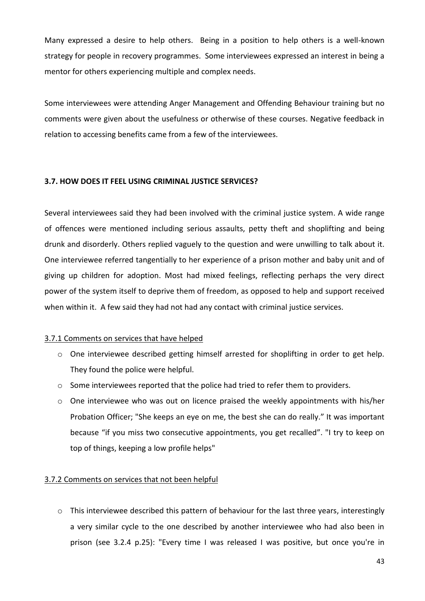Many expressed a desire to help others. Being in a position to help others is a well-known strategy for people in recovery programmes. Some interviewees expressed an interest in being a mentor for others experiencing multiple and complex needs.

Some interviewees were attending Anger Management and Offending Behaviour training but no comments were given about the usefulness or otherwise of these courses. Negative feedback in relation to accessing benefits came from a few of the interviewees.

#### **3.7. HOW DOES IT FEEL USING CRIMINAL JUSTICE SERVICES?**

Several interviewees said they had been involved with the criminal justice system. A wide range of offences were mentioned including serious assaults, petty theft and shoplifting and being drunk and disorderly. Others replied vaguely to the question and were unwilling to talk about it. One interviewee referred tangentially to her experience of a prison mother and baby unit and of giving up children for adoption. Most had mixed feelings, reflecting perhaps the very direct power of the system itself to deprive them of freedom, as opposed to help and support received when within it. A few said they had not had any contact with criminal justice services.

#### 3.7.1 Comments on services that have helped

- o One interviewee described getting himself arrested for shoplifting in order to get help. They found the police were helpful.
- o Some interviewees reported that the police had tried to refer them to providers.
- o One interviewee who was out on licence praised the weekly appointments with his/her Probation Officer; "She keeps an eye on me, the best she can do really." It was important because "if you miss two consecutive appointments, you get recalled". "I try to keep on top of things, keeping a low profile helps"

#### 3.7.2 Comments on services that not been helpful

o This interviewee described this pattern of behaviour for the last three years, interestingly a very similar cycle to the one described by another interviewee who had also been in prison (see 3.2.4 p.25): "Every time I was released I was positive, but once you're in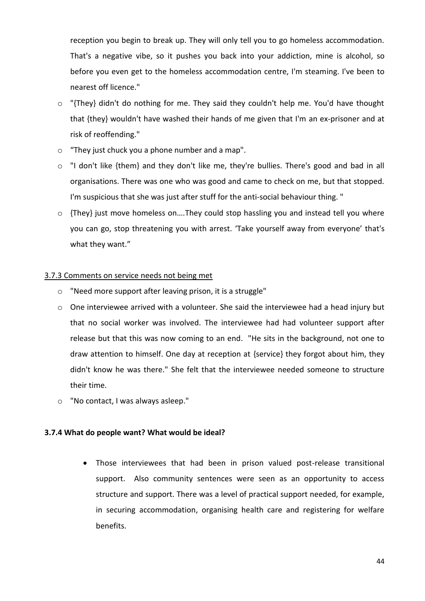reception you begin to break up. They will only tell you to go homeless accommodation. That's a negative vibe, so it pushes you back into your addiction, mine is alcohol, so before you even get to the homeless accommodation centre, I'm steaming. I've been to nearest off licence."

- o "{They} didn't do nothing for me. They said they couldn't help me. You'd have thought that {they} wouldn't have washed their hands of me given that I'm an ex-prisoner and at risk of reoffending."
- o "They just chuck you a phone number and a map".
- o "I don't like {them} and they don't like me, they're bullies. There's good and bad in all organisations. There was one who was good and came to check on me, but that stopped. I'm suspicious that she was just after stuff for the anti-social behaviour thing. "
- o {They} just move homeless on….They could stop hassling you and instead tell you where you can go, stop threatening you with arrest. 'Take yourself away from everyone' that's what they want."

#### 3.7.3 Comments on service needs not being met

- o "Need more support after leaving prison, it is a struggle"
- o One interviewee arrived with a volunteer. She said the interviewee had a head injury but that no social worker was involved. The interviewee had had volunteer support after release but that this was now coming to an end. "He sits in the background, not one to draw attention to himself. One day at reception at {service} they forgot about him, they didn't know he was there." She felt that the interviewee needed someone to structure their time.
- o "No contact, I was always asleep."

#### **3.7.4 What do people want? What would be ideal?**

 Those interviewees that had been in prison valued post-release transitional support. Also community sentences were seen as an opportunity to access structure and support. There was a level of practical support needed, for example, in securing accommodation, organising health care and registering for welfare benefits.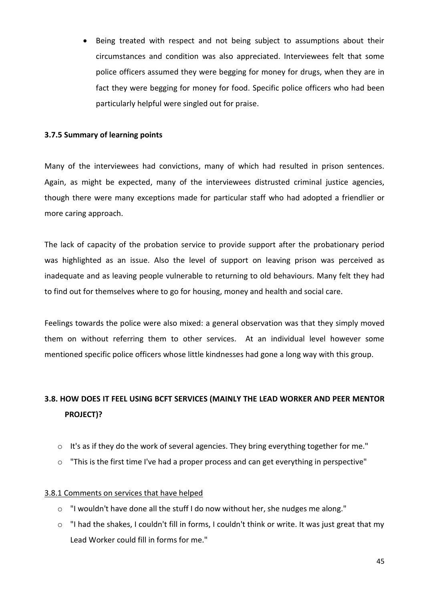Being treated with respect and not being subject to assumptions about their circumstances and condition was also appreciated. Interviewees felt that some police officers assumed they were begging for money for drugs, when they are in fact they were begging for money for food. Specific police officers who had been particularly helpful were singled out for praise.

#### **3.7.5 Summary of learning points**

Many of the interviewees had convictions, many of which had resulted in prison sentences. Again, as might be expected, many of the interviewees distrusted criminal justice agencies, though there were many exceptions made for particular staff who had adopted a friendlier or more caring approach.

The lack of capacity of the probation service to provide support after the probationary period was highlighted as an issue. Also the level of support on leaving prison was perceived as inadequate and as leaving people vulnerable to returning to old behaviours. Many felt they had to find out for themselves where to go for housing, money and health and social care.

Feelings towards the police were also mixed: a general observation was that they simply moved them on without referring them to other services. At an individual level however some mentioned specific police officers whose little kindnesses had gone a long way with this group.

### **3.8. HOW DOES IT FEEL USING BCFT SERVICES (MAINLY THE LEAD WORKER AND PEER MENTOR PROJECT)?**

- o It's as if they do the work of several agencies. They bring everything together for me."
- o "This is the first time I've had a proper process and can get everything in perspective"

#### 3.8.1 Comments on services that have helped

- o "I wouldn't have done all the stuff I do now without her, she nudges me along."
- $\circ$  "I had the shakes, I couldn't fill in forms, I couldn't think or write. It was just great that my Lead Worker could fill in forms for me."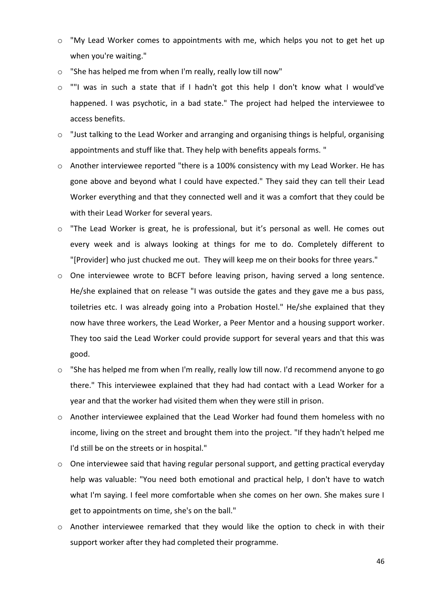- $\circ$  "My Lead Worker comes to appointments with me, which helps you not to get het up when you're waiting."
- o "She has helped me from when I'm really, really low till now"
- o ""I was in such a state that if I hadn't got this help I don't know what I would've happened. I was psychotic, in a bad state." The project had helped the interviewee to access benefits.
- o "Just talking to the Lead Worker and arranging and organising things is helpful, organising appointments and stuff like that. They help with benefits appeals forms. "
- o Another interviewee reported "there is a 100% consistency with my Lead Worker. He has gone above and beyond what I could have expected." They said they can tell their Lead Worker everything and that they connected well and it was a comfort that they could be with their Lead Worker for several years.
- o "The Lead Worker is great, he is professional, but it's personal as well. He comes out every week and is always looking at things for me to do. Completely different to "[Provider] who just chucked me out. They will keep me on their books for three years."
- o One interviewee wrote to BCFT before leaving prison, having served a long sentence. He/she explained that on release "I was outside the gates and they gave me a bus pass, toiletries etc. I was already going into a Probation Hostel." He/she explained that they now have three workers, the Lead Worker, a Peer Mentor and a housing support worker. They too said the Lead Worker could provide support for several years and that this was good.
- $\circ$  "She has helped me from when I'm really, really low till now. I'd recommend anyone to go there." This interviewee explained that they had had contact with a Lead Worker for a year and that the worker had visited them when they were still in prison.
- o Another interviewee explained that the Lead Worker had found them homeless with no income, living on the street and brought them into the project. "If they hadn't helped me I'd still be on the streets or in hospital."
- o One interviewee said that having regular personal support, and getting practical everyday help was valuable: "You need both emotional and practical help, I don't have to watch what I'm saying. I feel more comfortable when she comes on her own. She makes sure I get to appointments on time, she's on the ball."
- o Another interviewee remarked that they would like the option to check in with their support worker after they had completed their programme.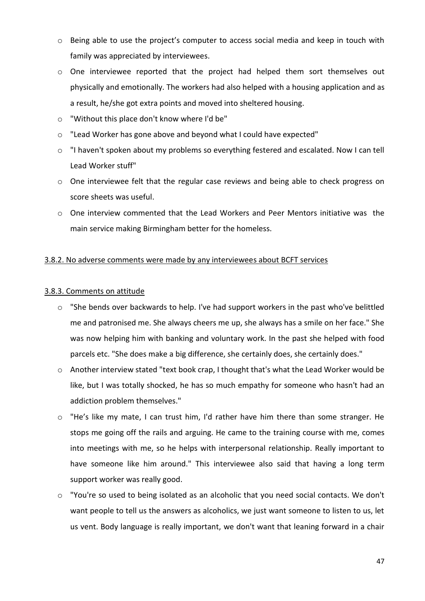- o Being able to use the project's computer to access social media and keep in touch with family was appreciated by interviewees.
- o One interviewee reported that the project had helped them sort themselves out physically and emotionally. The workers had also helped with a housing application and as a result, he/she got extra points and moved into sheltered housing.
- o "Without this place don't know where I'd be"
- o "Lead Worker has gone above and beyond what I could have expected"
- o "I haven't spoken about my problems so everything festered and escalated. Now I can tell Lead Worker stuff"
- o One interviewee felt that the regular case reviews and being able to check progress on score sheets was useful.
- o One interview commented that the Lead Workers and Peer Mentors initiative was the main service making Birmingham better for the homeless.

#### 3.8.2. No adverse comments were made by any interviewees about BCFT services

#### 3.8.3. Comments on attitude

- o "She bends over backwards to help. I've had support workers in the past who've belittled me and patronised me. She always cheers me up, she always has a smile on her face." She was now helping him with banking and voluntary work. In the past she helped with food parcels etc. "She does make a big difference, she certainly does, she certainly does."
- o Another interview stated "text book crap, I thought that's what the Lead Worker would be like, but I was totally shocked, he has so much empathy for someone who hasn't had an addiction problem themselves."
- o "He's like my mate, I can trust him, I'd rather have him there than some stranger. He stops me going off the rails and arguing. He came to the training course with me, comes into meetings with me, so he helps with interpersonal relationship. Really important to have someone like him around." This interviewee also said that having a long term support worker was really good.
- o "You're so used to being isolated as an alcoholic that you need social contacts. We don't want people to tell us the answers as alcoholics, we just want someone to listen to us, let us vent. Body language is really important, we don't want that leaning forward in a chair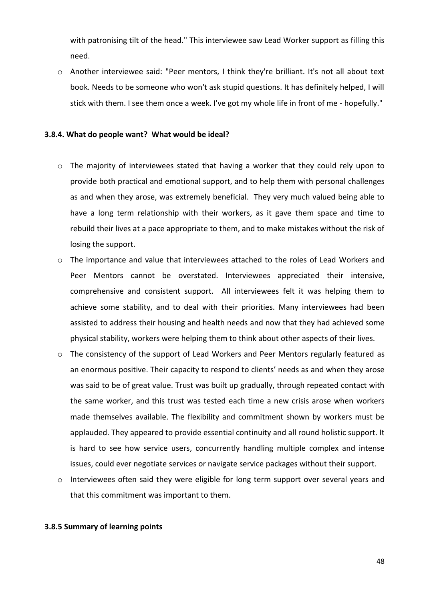with patronising tilt of the head." This interviewee saw Lead Worker support as filling this need.

o Another interviewee said: "Peer mentors, I think they're brilliant. It's not all about text book. Needs to be someone who won't ask stupid questions. It has definitely helped, I will stick with them. I see them once a week. I've got my whole life in front of me - hopefully."

#### **3.8.4. What do people want? What would be ideal?**

- o The majority of interviewees stated that having a worker that they could rely upon to provide both practical and emotional support, and to help them with personal challenges as and when they arose, was extremely beneficial. They very much valued being able to have a long term relationship with their workers, as it gave them space and time to rebuild their lives at a pace appropriate to them, and to make mistakes without the risk of losing the support.
- o The importance and value that interviewees attached to the roles of Lead Workers and Peer Mentors cannot be overstated. Interviewees appreciated their intensive, comprehensive and consistent support. All interviewees felt it was helping them to achieve some stability, and to deal with their priorities. Many interviewees had been assisted to address their housing and health needs and now that they had achieved some physical stability, workers were helping them to think about other aspects of their lives.
- o The consistency of the support of Lead Workers and Peer Mentors regularly featured as an enormous positive. Their capacity to respond to clients' needs as and when they arose was said to be of great value. Trust was built up gradually, through repeated contact with the same worker, and this trust was tested each time a new crisis arose when workers made themselves available. The flexibility and commitment shown by workers must be applauded. They appeared to provide essential continuity and all round holistic support. It is hard to see how service users, concurrently handling multiple complex and intense issues, could ever negotiate services or navigate service packages without their support.
- o Interviewees often said they were eligible for long term support over several years and that this commitment was important to them.

#### **3.8.5 Summary of learning points**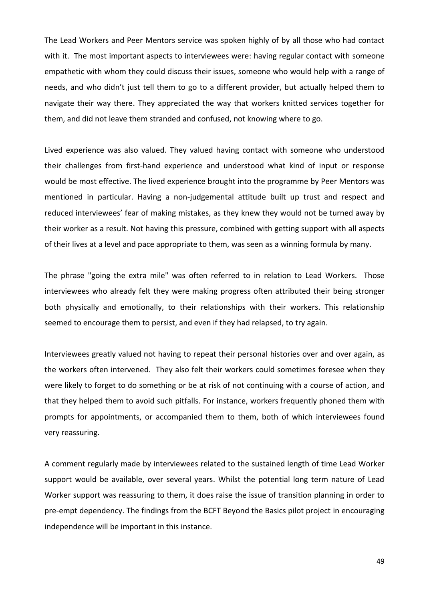The Lead Workers and Peer Mentors service was spoken highly of by all those who had contact with it. The most important aspects to interviewees were: having regular contact with someone empathetic with whom they could discuss their issues, someone who would help with a range of needs, and who didn't just tell them to go to a different provider, but actually helped them to navigate their way there. They appreciated the way that workers knitted services together for them, and did not leave them stranded and confused, not knowing where to go.

Lived experience was also valued. They valued having contact with someone who understood their challenges from first-hand experience and understood what kind of input or response would be most effective. The lived experience brought into the programme by Peer Mentors was mentioned in particular. Having a non-judgemental attitude built up trust and respect and reduced interviewees' fear of making mistakes, as they knew they would not be turned away by their worker as a result. Not having this pressure, combined with getting support with all aspects of their lives at a level and pace appropriate to them, was seen as a winning formula by many.

The phrase "going the extra mile" was often referred to in relation to Lead Workers. Those interviewees who already felt they were making progress often attributed their being stronger both physically and emotionally, to their relationships with their workers. This relationship seemed to encourage them to persist, and even if they had relapsed, to try again.

Interviewees greatly valued not having to repeat their personal histories over and over again, as the workers often intervened. They also felt their workers could sometimes foresee when they were likely to forget to do something or be at risk of not continuing with a course of action, and that they helped them to avoid such pitfalls. For instance, workers frequently phoned them with prompts for appointments, or accompanied them to them, both of which interviewees found very reassuring.

A comment regularly made by interviewees related to the sustained length of time Lead Worker support would be available, over several years. Whilst the potential long term nature of Lead Worker support was reassuring to them, it does raise the issue of transition planning in order to pre-empt dependency. The findings from the BCFT Beyond the Basics pilot project in encouraging independence will be important in this instance.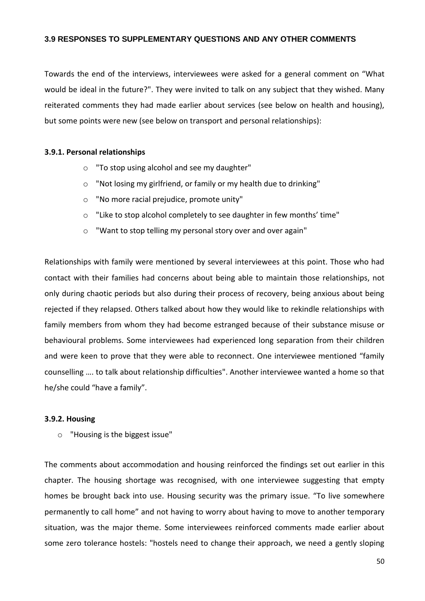#### **3.9 RESPONSES TO SUPPLEMENTARY QUESTIONS AND ANY OTHER COMMENTS**

Towards the end of the interviews, interviewees were asked for a general comment on "What would be ideal in the future?". They were invited to talk on any subject that they wished. Many reiterated comments they had made earlier about services (see below on health and housing), but some points were new (see below on transport and personal relationships):

#### **3.9.1. Personal relationships**

- o "To stop using alcohol and see my daughter"
- o "Not losing my girlfriend, or family or my health due to drinking"
- o "No more racial prejudice, promote unity"
- o "Like to stop alcohol completely to see daughter in few months' time"
- o "Want to stop telling my personal story over and over again"

Relationships with family were mentioned by several interviewees at this point. Those who had contact with their families had concerns about being able to maintain those relationships, not only during chaotic periods but also during their process of recovery, being anxious about being rejected if they relapsed. Others talked about how they would like to rekindle relationships with family members from whom they had become estranged because of their substance misuse or behavioural problems. Some interviewees had experienced long separation from their children and were keen to prove that they were able to reconnect. One interviewee mentioned "family counselling …. to talk about relationship difficulties". Another interviewee wanted a home so that he/she could "have a family".

#### **3.9.2. Housing**

o "Housing is the biggest issue"

The comments about accommodation and housing reinforced the findings set out earlier in this chapter. The housing shortage was recognised, with one interviewee suggesting that empty homes be brought back into use. Housing security was the primary issue. "To live somewhere permanently to call home" and not having to worry about having to move to another temporary situation, was the major theme. Some interviewees reinforced comments made earlier about some zero tolerance hostels: "hostels need to change their approach, we need a gently sloping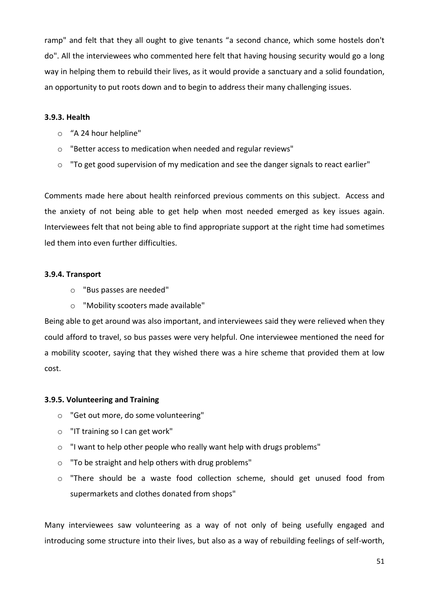ramp" and felt that they all ought to give tenants "a second chance, which some hostels don't do". All the interviewees who commented here felt that having housing security would go a long way in helping them to rebuild their lives, as it would provide a sanctuary and a solid foundation, an opportunity to put roots down and to begin to address their many challenging issues.

#### **3.9.3. Health**

- o "A 24 hour helpline"
- o "Better access to medication when needed and regular reviews"
- o "To get good supervision of my medication and see the danger signals to react earlier"

Comments made here about health reinforced previous comments on this subject. Access and the anxiety of not being able to get help when most needed emerged as key issues again. Interviewees felt that not being able to find appropriate support at the right time had sometimes led them into even further difficulties.

#### **3.9.4. Transport**

- o "Bus passes are needed"
- o "Mobility scooters made available"

Being able to get around was also important, and interviewees said they were relieved when they could afford to travel, so bus passes were very helpful. One interviewee mentioned the need for a mobility scooter, saying that they wished there was a hire scheme that provided them at low cost.

#### **3.9.5. Volunteering and Training**

- o "Get out more, do some volunteering"
- o "IT training so I can get work"
- o "I want to help other people who really want help with drugs problems"
- o "To be straight and help others with drug problems"
- o "There should be a waste food collection scheme, should get unused food from supermarkets and clothes donated from shops"

Many interviewees saw volunteering as a way of not only of being usefully engaged and introducing some structure into their lives, but also as a way of rebuilding feelings of self-worth,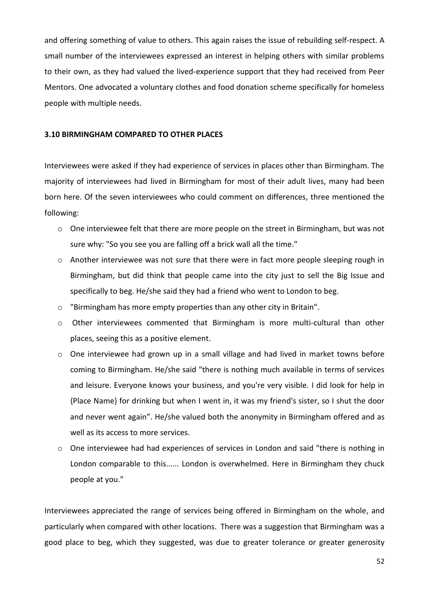and offering something of value to others. This again raises the issue of rebuilding self-respect. A small number of the interviewees expressed an interest in helping others with similar problems to their own, as they had valued the lived-experience support that they had received from Peer Mentors. One advocated a voluntary clothes and food donation scheme specifically for homeless people with multiple needs.

#### **3.10 BIRMINGHAM COMPARED TO OTHER PLACES**

Interviewees were asked if they had experience of services in places other than Birmingham. The majority of interviewees had lived in Birmingham for most of their adult lives, many had been born here. Of the seven interviewees who could comment on differences, three mentioned the following:

- o One interviewee felt that there are more people on the street in Birmingham, but was not sure why: "So you see you are falling off a brick wall all the time."
- $\circ$  Another interviewee was not sure that there were in fact more people sleeping rough in Birmingham, but did think that people came into the city just to sell the Big Issue and specifically to beg. He/she said they had a friend who went to London to beg.
- o "Birmingham has more empty properties than any other city in Britain".
- o Other interviewees commented that Birmingham is more multi-cultural than other places, seeing this as a positive element.
- o One interviewee had grown up in a small village and had lived in market towns before coming to Birmingham. He/she said "there is nothing much available in terms of services and leisure. Everyone knows your business, and you're very visible. I did look for help in {Place Name} for drinking but when I went in, it was my friend's sister, so I shut the door and never went again". He/she valued both the anonymity in Birmingham offered and as well as its access to more services.
- o One interviewee had had experiences of services in London and said "there is nothing in London comparable to this...... London is overwhelmed. Here in Birmingham they chuck people at you."

Interviewees appreciated the range of services being offered in Birmingham on the whole, and particularly when compared with other locations. There was a suggestion that Birmingham was a good place to beg, which they suggested, was due to greater tolerance or greater generosity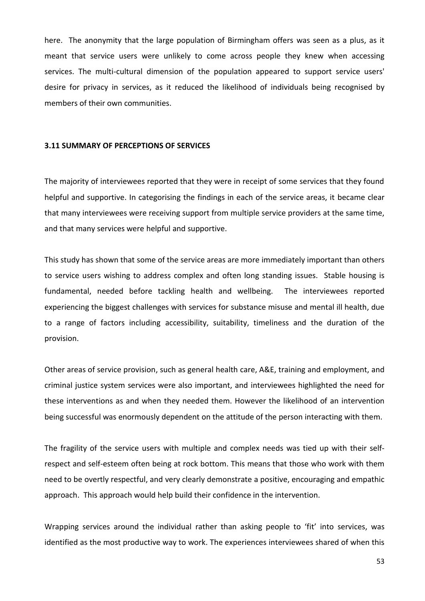here. The anonymity that the large population of Birmingham offers was seen as a plus, as it meant that service users were unlikely to come across people they knew when accessing services. The multi-cultural dimension of the population appeared to support service users' desire for privacy in services, as it reduced the likelihood of individuals being recognised by members of their own communities.

#### **3.11 SUMMARY OF PERCEPTIONS OF SERVICES**

The majority of interviewees reported that they were in receipt of some services that they found helpful and supportive. In categorising the findings in each of the service areas, it became clear that many interviewees were receiving support from multiple service providers at the same time, and that many services were helpful and supportive.

This study has shown that some of the service areas are more immediately important than others to service users wishing to address complex and often long standing issues. Stable housing is fundamental, needed before tackling health and wellbeing. The interviewees reported experiencing the biggest challenges with services for substance misuse and mental ill health, due to a range of factors including accessibility, suitability, timeliness and the duration of the provision.

Other areas of service provision, such as general health care, A&E, training and employment, and criminal justice system services were also important, and interviewees highlighted the need for these interventions as and when they needed them. However the likelihood of an intervention being successful was enormously dependent on the attitude of the person interacting with them.

The fragility of the service users with multiple and complex needs was tied up with their selfrespect and self-esteem often being at rock bottom. This means that those who work with them need to be overtly respectful, and very clearly demonstrate a positive, encouraging and empathic approach. This approach would help build their confidence in the intervention.

Wrapping services around the individual rather than asking people to 'fit' into services, was identified as the most productive way to work. The experiences interviewees shared of when this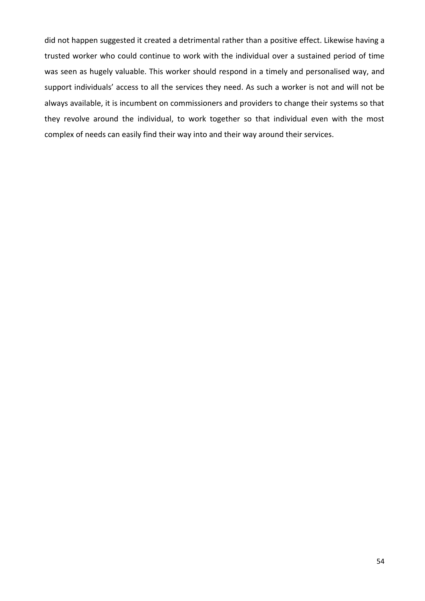did not happen suggested it created a detrimental rather than a positive effect. Likewise having a trusted worker who could continue to work with the individual over a sustained period of time was seen as hugely valuable. This worker should respond in a timely and personalised way, and support individuals' access to all the services they need. As such a worker is not and will not be always available, it is incumbent on commissioners and providers to change their systems so that they revolve around the individual, to work together so that individual even with the most complex of needs can easily find their way into and their way around their services.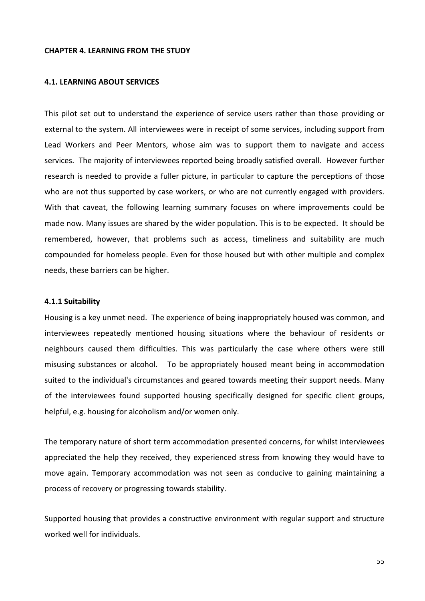#### **CHAPTER 4. LEARNING FROM THE STUDY**

#### **4.1. LEARNING ABOUT SERVICES**

This pilot set out to understand the experience of service users rather than those providing or external to the system. All interviewees were in receipt of some services, including support from Lead Workers and Peer Mentors, whose aim was to support them to navigate and access services. The majority of interviewees reported being broadly satisfied overall. However further research is needed to provide a fuller picture, in particular to capture the perceptions of those who are not thus supported by case workers, or who are not currently engaged with providers. With that caveat, the following learning summary focuses on where improvements could be made now. Many issues are shared by the wider population. This is to be expected. It should be remembered, however, that problems such as access, timeliness and suitability are much compounded for homeless people. Even for those housed but with other multiple and complex needs, these barriers can be higher.

#### **4.1.1 Suitability**

Housing is a key unmet need. The experience of being inappropriately housed was common, and interviewees repeatedly mentioned housing situations where the behaviour of residents or neighbours caused them difficulties. This was particularly the case where others were still misusing substances or alcohol. To be appropriately housed meant being in accommodation suited to the individual's circumstances and geared towards meeting their support needs. Many of the interviewees found supported housing specifically designed for specific client groups, helpful, e.g. housing for alcoholism and/or women only.

The temporary nature of short term accommodation presented concerns, for whilst interviewees appreciated the help they received, they experienced stress from knowing they would have to move again. Temporary accommodation was not seen as conducive to gaining maintaining a process of recovery or progressing towards stability.

Supported housing that provides a constructive environment with regular support and structure worked well for individuals.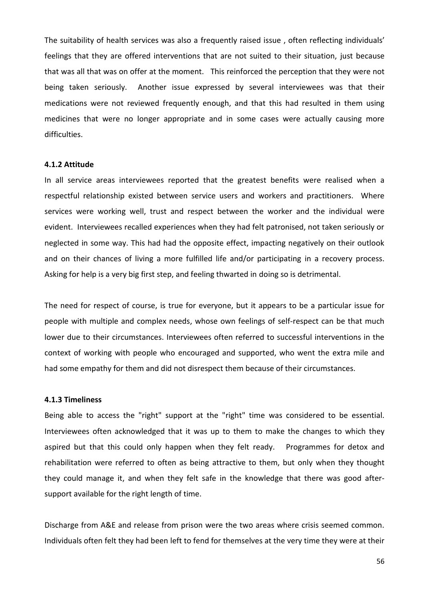The suitability of health services was also a frequently raised issue , often reflecting individuals' feelings that they are offered interventions that are not suited to their situation, just because that was all that was on offer at the moment. This reinforced the perception that they were not being taken seriously. Another issue expressed by several interviewees was that their medications were not reviewed frequently enough, and that this had resulted in them using medicines that were no longer appropriate and in some cases were actually causing more difficulties.

#### **4.1.2 Attitude**

In all service areas interviewees reported that the greatest benefits were realised when a respectful relationship existed between service users and workers and practitioners. Where services were working well, trust and respect between the worker and the individual were evident. Interviewees recalled experiences when they had felt patronised, not taken seriously or neglected in some way. This had had the opposite effect, impacting negatively on their outlook and on their chances of living a more fulfilled life and/or participating in a recovery process. Asking for help is a very big first step, and feeling thwarted in doing so is detrimental.

The need for respect of course, is true for everyone, but it appears to be a particular issue for people with multiple and complex needs, whose own feelings of self-respect can be that much lower due to their circumstances. Interviewees often referred to successful interventions in the context of working with people who encouraged and supported, who went the extra mile and had some empathy for them and did not disrespect them because of their circumstances.

#### **4.1.3 Timeliness**

Being able to access the "right" support at the "right" time was considered to be essential. Interviewees often acknowledged that it was up to them to make the changes to which they aspired but that this could only happen when they felt ready. Programmes for detox and rehabilitation were referred to often as being attractive to them, but only when they thought they could manage it, and when they felt safe in the knowledge that there was good aftersupport available for the right length of time.

Discharge from A&E and release from prison were the two areas where crisis seemed common. Individuals often felt they had been left to fend for themselves at the very time they were at their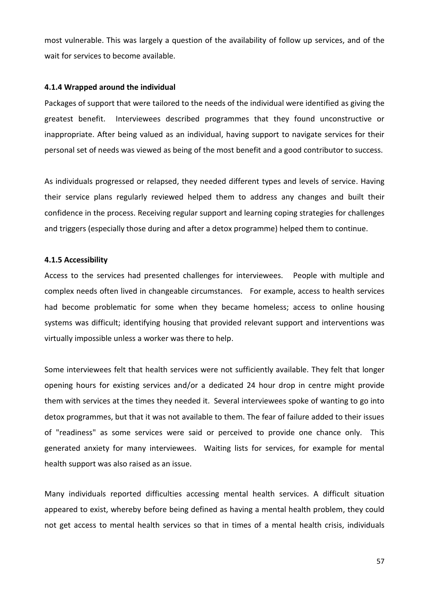most vulnerable. This was largely a question of the availability of follow up services, and of the wait for services to become available.

#### **4.1.4 Wrapped around the individual**

Packages of support that were tailored to the needs of the individual were identified as giving the greatest benefit. Interviewees described programmes that they found unconstructive or inappropriate. After being valued as an individual, having support to navigate services for their personal set of needs was viewed as being of the most benefit and a good contributor to success.

As individuals progressed or relapsed, they needed different types and levels of service. Having their service plans regularly reviewed helped them to address any changes and built their confidence in the process. Receiving regular support and learning coping strategies for challenges and triggers (especially those during and after a detox programme) helped them to continue.

#### **4.1.5 Accessibility**

Access to the services had presented challenges for interviewees. People with multiple and complex needs often lived in changeable circumstances. For example, access to health services had become problematic for some when they became homeless; access to online housing systems was difficult; identifying housing that provided relevant support and interventions was virtually impossible unless a worker was there to help.

Some interviewees felt that health services were not sufficiently available. They felt that longer opening hours for existing services and/or a dedicated 24 hour drop in centre might provide them with services at the times they needed it. Several interviewees spoke of wanting to go into detox programmes, but that it was not available to them. The fear of failure added to their issues of "readiness" as some services were said or perceived to provide one chance only. This generated anxiety for many interviewees. Waiting lists for services, for example for mental health support was also raised as an issue.

Many individuals reported difficulties accessing mental health services. A difficult situation appeared to exist, whereby before being defined as having a mental health problem, they could not get access to mental health services so that in times of a mental health crisis, individuals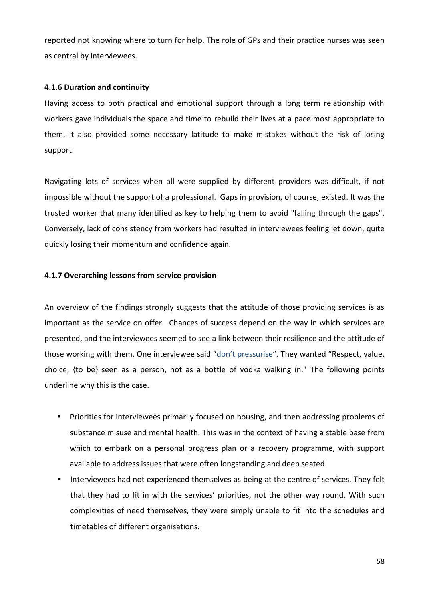reported not knowing where to turn for help. The role of GPs and their practice nurses was seen as central by interviewees.

#### **4.1.6 Duration and continuity**

Having access to both practical and emotional support through a long term relationship with workers gave individuals the space and time to rebuild their lives at a pace most appropriate to them. It also provided some necessary latitude to make mistakes without the risk of losing support.

Navigating lots of services when all were supplied by different providers was difficult, if not impossible without the support of a professional. Gaps in provision, of course, existed. It was the trusted worker that many identified as key to helping them to avoid "falling through the gaps". Conversely, lack of consistency from workers had resulted in interviewees feeling let down, quite quickly losing their momentum and confidence again.

#### **4.1.7 Overarching lessons from service provision**

An overview of the findings strongly suggests that the attitude of those providing services is as important as the service on offer. Chances of success depend on the way in which services are presented, and the interviewees seemed to see a link between their resilience and the attitude of those working with them. One interviewee said "don't pressurise". They wanted "Respect, value, choice, {to be} seen as a person, not as a bottle of vodka walking in." The following points underline why this is the case.

- **Priorities for interviewees primarily focused on housing, and then addressing problems of** substance misuse and mental health. This was in the context of having a stable base from which to embark on a personal progress plan or a recovery programme, with support available to address issues that were often longstanding and deep seated.
- Interviewees had not experienced themselves as being at the centre of services. They felt that they had to fit in with the services' priorities, not the other way round. With such complexities of need themselves, they were simply unable to fit into the schedules and timetables of different organisations.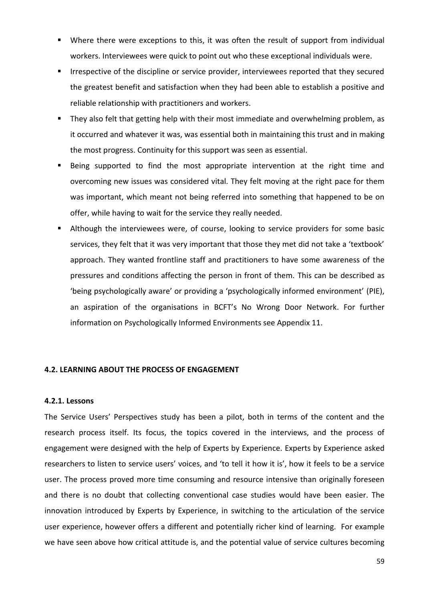- Where there were exceptions to this, it was often the result of support from individual workers. Interviewees were quick to point out who these exceptional individuals were.
- Irrespective of the discipline or service provider, interviewees reported that they secured the greatest benefit and satisfaction when they had been able to establish a positive and reliable relationship with practitioners and workers.
- They also felt that getting help with their most immediate and overwhelming problem, as it occurred and whatever it was, was essential both in maintaining this trust and in making the most progress. Continuity for this support was seen as essential.
- Being supported to find the most appropriate intervention at the right time and overcoming new issues was considered vital. They felt moving at the right pace for them was important, which meant not being referred into something that happened to be on offer, while having to wait for the service they really needed.
- Although the interviewees were, of course, looking to service providers for some basic services, they felt that it was very important that those they met did not take a 'textbook' approach. They wanted frontline staff and practitioners to have some awareness of the pressures and conditions affecting the person in front of them. This can be described as 'being psychologically aware' or providing a 'psychologically informed environment' (PIE), an aspiration of the organisations in BCFT's No Wrong Door Network. For further information on Psychologically Informed Environments see Appendix 11.

#### **4.2. LEARNING ABOUT THE PROCESS OF ENGAGEMENT**

#### **4.2.1. Lessons**

The Service Users' Perspectives study has been a pilot, both in terms of the content and the research process itself. Its focus, the topics covered in the interviews, and the process of engagement were designed with the help of Experts by Experience. Experts by Experience asked researchers to listen to service users' voices, and 'to tell it how it is', how it feels to be a service user. The process proved more time consuming and resource intensive than originally foreseen and there is no doubt that collecting conventional case studies would have been easier. The innovation introduced by Experts by Experience, in switching to the articulation of the service user experience, however offers a different and potentially richer kind of learning. For example we have seen above how critical attitude is, and the potential value of service cultures becoming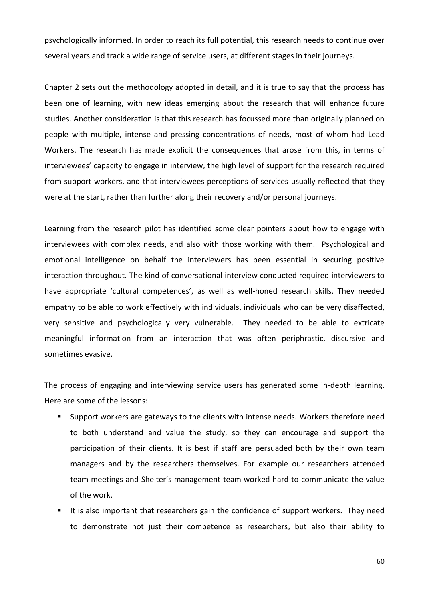psychologically informed. In order to reach its full potential, this research needs to continue over several years and track a wide range of service users, at different stages in their journeys.

Chapter 2 sets out the methodology adopted in detail, and it is true to say that the process has been one of learning, with new ideas emerging about the research that will enhance future studies. Another consideration is that this research has focussed more than originally planned on people with multiple, intense and pressing concentrations of needs, most of whom had Lead Workers. The research has made explicit the consequences that arose from this, in terms of interviewees' capacity to engage in interview, the high level of support for the research required from support workers, and that interviewees perceptions of services usually reflected that they were at the start, rather than further along their recovery and/or personal journeys.

Learning from the research pilot has identified some clear pointers about how to engage with interviewees with complex needs, and also with those working with them. Psychological and emotional intelligence on behalf the interviewers has been essential in securing positive interaction throughout. The kind of conversational interview conducted required interviewers to have appropriate 'cultural competences', as well as well-honed research skills. They needed empathy to be able to work effectively with individuals, individuals who can be very disaffected, very sensitive and psychologically very vulnerable. They needed to be able to extricate meaningful information from an interaction that was often periphrastic, discursive and sometimes evasive.

The process of engaging and interviewing service users has generated some in-depth learning. Here are some of the lessons:

- **Support workers are gateways to the clients with intense needs. Workers therefore need** to both understand and value the study, so they can encourage and support the participation of their clients. It is best if staff are persuaded both by their own team managers and by the researchers themselves. For example our researchers attended team meetings and Shelter's management team worked hard to communicate the value of the work.
- It is also important that researchers gain the confidence of support workers. They need to demonstrate not just their competence as researchers, but also their ability to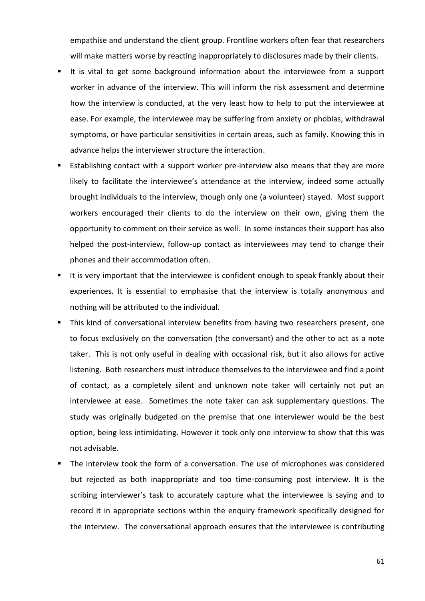empathise and understand the client group. Frontline workers often fear that researchers will make matters worse by reacting inappropriately to disclosures made by their clients.

- It is vital to get some background information about the interviewee from a support worker in advance of the interview. This will inform the risk assessment and determine how the interview is conducted, at the very least how to help to put the interviewee at ease. For example, the interviewee may be suffering from anxiety or phobias, withdrawal symptoms, or have particular sensitivities in certain areas, such as family. Knowing this in advance helps the interviewer structure the interaction.
- Establishing contact with a support worker pre-interview also means that they are more likely to facilitate the interviewee's attendance at the interview, indeed some actually brought individuals to the interview, though only one (a volunteer) stayed. Most support workers encouraged their clients to do the interview on their own, giving them the opportunity to comment on their service as well. In some instances their support has also helped the post-interview, follow-up contact as interviewees may tend to change their phones and their accommodation often.
- It is very important that the interviewee is confident enough to speak frankly about their experiences. It is essential to emphasise that the interview is totally anonymous and nothing will be attributed to the individual.
- This kind of conversational interview benefits from having two researchers present, one to focus exclusively on the conversation (the conversant) and the other to act as a note taker. This is not only useful in dealing with occasional risk, but it also allows for active listening. Both researchers must introduce themselves to the interviewee and find a point of contact, as a completely silent and unknown note taker will certainly not put an interviewee at ease. Sometimes the note taker can ask supplementary questions. The study was originally budgeted on the premise that one interviewer would be the best option, being less intimidating. However it took only one interview to show that this was not advisable.
- The interview took the form of a conversation. The use of microphones was considered but rejected as both inappropriate and too time-consuming post interview. It is the scribing interviewer's task to accurately capture what the interviewee is saying and to record it in appropriate sections within the enquiry framework specifically designed for the interview. The conversational approach ensures that the interviewee is contributing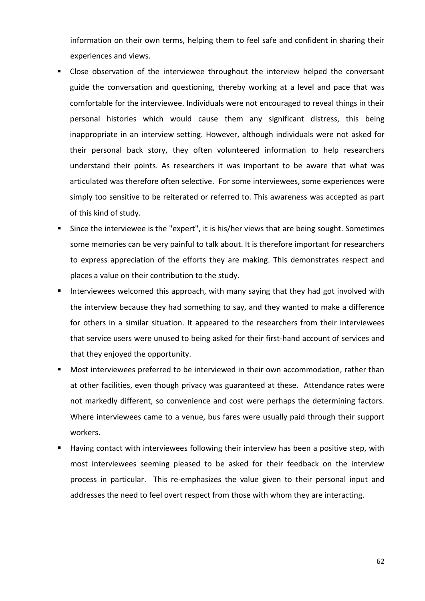information on their own terms, helping them to feel safe and confident in sharing their experiences and views.

- Close observation of the interviewee throughout the interview helped the conversant guide the conversation and questioning, thereby working at a level and pace that was comfortable for the interviewee. Individuals were not encouraged to reveal things in their personal histories which would cause them any significant distress, this being inappropriate in an interview setting. However, although individuals were not asked for their personal back story, they often volunteered information to help researchers understand their points. As researchers it was important to be aware that what was articulated was therefore often selective. For some interviewees, some experiences were simply too sensitive to be reiterated or referred to. This awareness was accepted as part of this kind of study.
- Since the interviewee is the "expert", it is his/her views that are being sought. Sometimes some memories can be very painful to talk about. It is therefore important for researchers to express appreciation of the efforts they are making. This demonstrates respect and places a value on their contribution to the study.
- **IF** Interviewees welcomed this approach, with many saying that they had got involved with the interview because they had something to say, and they wanted to make a difference for others in a similar situation. It appeared to the researchers from their interviewees that service users were unused to being asked for their first-hand account of services and that they enjoyed the opportunity.
- **Most interviewees preferred to be interviewed in their own accommodation, rather than** at other facilities, even though privacy was guaranteed at these. Attendance rates were not markedly different, so convenience and cost were perhaps the determining factors. Where interviewees came to a venue, bus fares were usually paid through their support workers.
- Having contact with interviewees following their interview has been a positive step, with most interviewees seeming pleased to be asked for their feedback on the interview process in particular. This re-emphasizes the value given to their personal input and addresses the need to feel overt respect from those with whom they are interacting.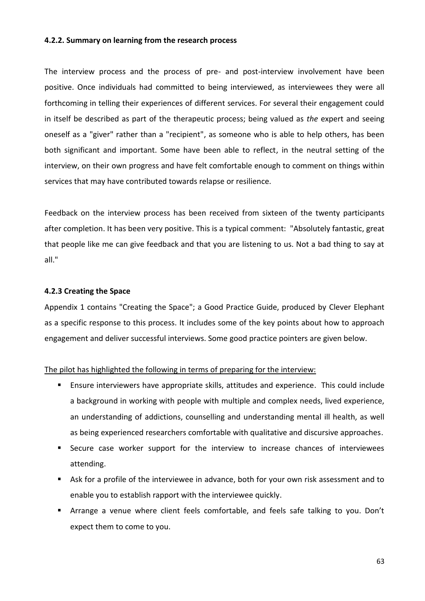#### **4.2.2. Summary on learning from the research process**

The interview process and the process of pre- and post-interview involvement have been positive. Once individuals had committed to being interviewed, as interviewees they were all forthcoming in telling their experiences of different services. For several their engagement could in itself be described as part of the therapeutic process; being valued as *the* expert and seeing oneself as a "giver" rather than a "recipient", as someone who is able to help others, has been both significant and important. Some have been able to reflect, in the neutral setting of the interview, on their own progress and have felt comfortable enough to comment on things within services that may have contributed towards relapse or resilience.

Feedback on the interview process has been received from sixteen of the twenty participants after completion. It has been very positive. This is a typical comment: "Absolutely fantastic, great that people like me can give feedback and that you are listening to us. Not a bad thing to say at all."

#### **4.2.3 Creating the Space**

Appendix 1 contains "Creating the Space"; a Good Practice Guide, produced by Clever Elephant as a specific response to this process. It includes some of the key points about how to approach engagement and deliver successful interviews. Some good practice pointers are given below.

#### The pilot has highlighted the following in terms of preparing for the interview:

- Ensure interviewers have appropriate skills, attitudes and experience. This could include a background in working with people with multiple and complex needs, lived experience, an understanding of addictions, counselling and understanding mental ill health, as well as being experienced researchers comfortable with qualitative and discursive approaches.
- Secure case worker support for the interview to increase chances of interviewees attending.
- Ask for a profile of the interviewee in advance, both for your own risk assessment and to enable you to establish rapport with the interviewee quickly.
- Arrange a venue where client feels comfortable, and feels safe talking to you. Don't expect them to come to you.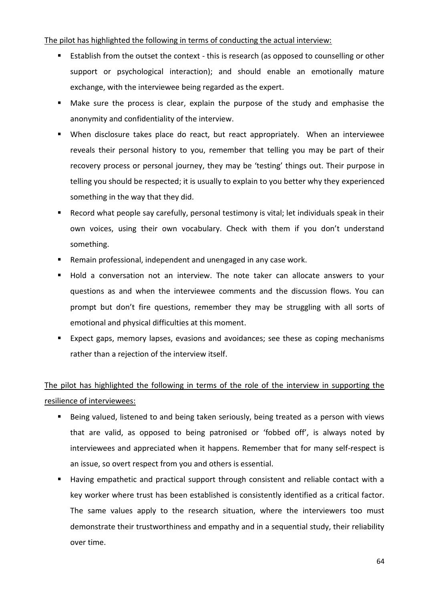#### The pilot has highlighted the following in terms of conducting the actual interview:

- **Establish from the outset the context this is research (as opposed to counselling or other** support or psychological interaction); and should enable an emotionally mature exchange, with the interviewee being regarded as the expert.
- Make sure the process is clear, explain the purpose of the study and emphasise the anonymity and confidentiality of the interview.
- When disclosure takes place do react, but react appropriately. When an interviewee reveals their personal history to you, remember that telling you may be part of their recovery process or personal journey, they may be 'testing' things out. Their purpose in telling you should be respected; it is usually to explain to you better why they experienced something in the way that they did.
- Record what people say carefully, personal testimony is vital; let individuals speak in their own voices, using their own vocabulary. Check with them if you don't understand something.
- Remain professional, independent and unengaged in any case work.
- Hold a conversation not an interview. The note taker can allocate answers to your questions as and when the interviewee comments and the discussion flows. You can prompt but don't fire questions, remember they may be struggling with all sorts of emotional and physical difficulties at this moment.
- Expect gaps, memory lapses, evasions and avoidances; see these as coping mechanisms rather than a rejection of the interview itself.

# The pilot has highlighted the following in terms of the role of the interview in supporting the resilience of interviewees:

- Being valued, listened to and being taken seriously, being treated as a person with views that are valid, as opposed to being patronised or 'fobbed off', is always noted by interviewees and appreciated when it happens. Remember that for many self-respect is an issue, so overt respect from you and others is essential.
- Having empathetic and practical support through consistent and reliable contact with a key worker where trust has been established is consistently identified as a critical factor. The same values apply to the research situation, where the interviewers too must demonstrate their trustworthiness and empathy and in a sequential study, their reliability over time.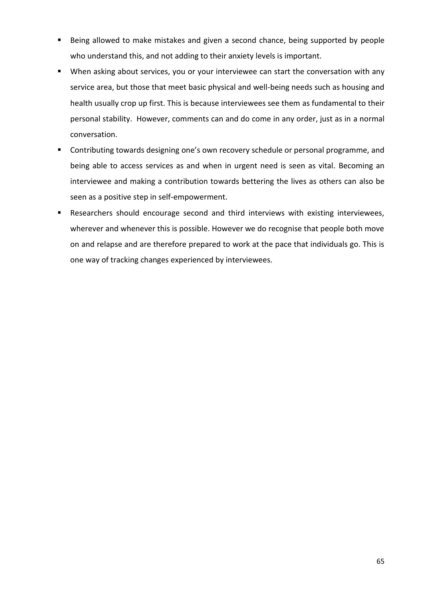- Being allowed to make mistakes and given a second chance, being supported by people who understand this, and not adding to their anxiety levels is important.
- When asking about services, you or your interviewee can start the conversation with any service area, but those that meet basic physical and well-being needs such as housing and health usually crop up first. This is because interviewees see them as fundamental to their personal stability. However, comments can and do come in any order, just as in a normal conversation.
- Contributing towards designing one's own recovery schedule or personal programme, and being able to access services as and when in urgent need is seen as vital. Becoming an interviewee and making a contribution towards bettering the lives as others can also be seen as a positive step in self-empowerment.
- Researchers should encourage second and third interviews with existing interviewees, wherever and whenever this is possible. However we do recognise that people both move on and relapse and are therefore prepared to work at the pace that individuals go. This is one way of tracking changes experienced by interviewees.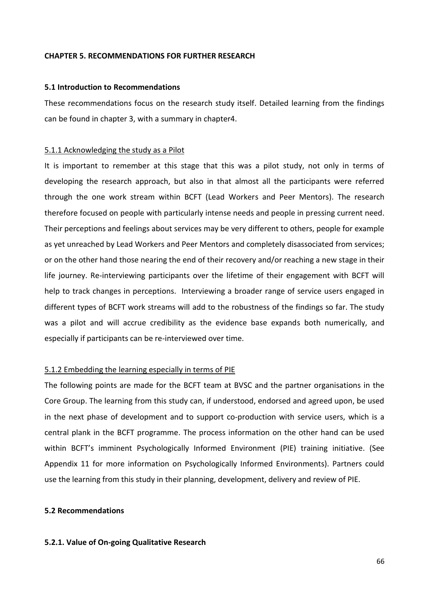#### **CHAPTER 5. RECOMMENDATIONS FOR FURTHER RESEARCH**

#### **5.1 Introduction to Recommendations**

These recommendations focus on the research study itself. Detailed learning from the findings can be found in chapter 3, with a summary in chapter4.

#### 5.1.1 Acknowledging the study as a Pilot

It is important to remember at this stage that this was a pilot study, not only in terms of developing the research approach, but also in that almost all the participants were referred through the one work stream within BCFT (Lead Workers and Peer Mentors). The research therefore focused on people with particularly intense needs and people in pressing current need. Their perceptions and feelings about services may be very different to others, people for example as yet unreached by Lead Workers and Peer Mentors and completely disassociated from services; or on the other hand those nearing the end of their recovery and/or reaching a new stage in their life journey. Re-interviewing participants over the lifetime of their engagement with BCFT will help to track changes in perceptions. Interviewing a broader range of service users engaged in different types of BCFT work streams will add to the robustness of the findings so far. The study was a pilot and will accrue credibility as the evidence base expands both numerically, and especially if participants can be re-interviewed over time.

#### 5.1.2 Embedding the learning especially in terms of PIE

The following points are made for the BCFT team at BVSC and the partner organisations in the Core Group. The learning from this study can, if understood, endorsed and agreed upon, be used in the next phase of development and to support co-production with service users, which is a central plank in the BCFT programme. The process information on the other hand can be used within BCFT's imminent Psychologically Informed Environment (PIE) training initiative. (See Appendix 11 for more information on Psychologically Informed Environments). Partners could use the learning from this study in their planning, development, delivery and review of PIE.

#### **5.2 Recommendations**

#### **5.2.1. Value of On-going Qualitative Research**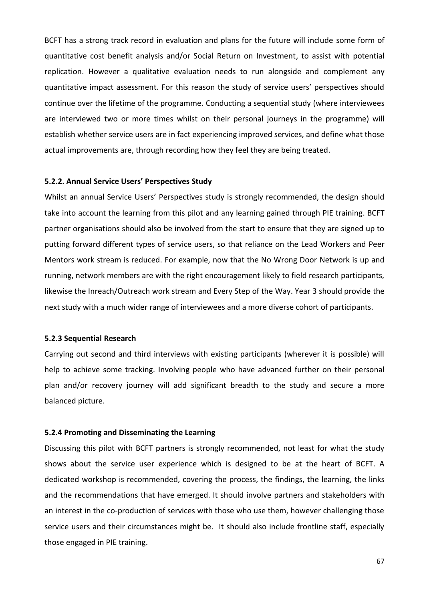BCFT has a strong track record in evaluation and plans for the future will include some form of quantitative cost benefit analysis and/or Social Return on Investment, to assist with potential replication. However a qualitative evaluation needs to run alongside and complement any quantitative impact assessment. For this reason the study of service users' perspectives should continue over the lifetime of the programme. Conducting a sequential study (where interviewees are interviewed two or more times whilst on their personal journeys in the programme) will establish whether service users are in fact experiencing improved services, and define what those actual improvements are, through recording how they feel they are being treated.

#### **5.2.2. Annual Service Users' Perspectives Study**

Whilst an annual Service Users' Perspectives study is strongly recommended, the design should take into account the learning from this pilot and any learning gained through PIE training. BCFT partner organisations should also be involved from the start to ensure that they are signed up to putting forward different types of service users, so that reliance on the Lead Workers and Peer Mentors work stream is reduced. For example, now that the No Wrong Door Network is up and running, network members are with the right encouragement likely to field research participants, likewise the Inreach/Outreach work stream and Every Step of the Way. Year 3 should provide the next study with a much wider range of interviewees and a more diverse cohort of participants.

#### **5.2.3 Sequential Research**

Carrying out second and third interviews with existing participants (wherever it is possible) will help to achieve some tracking. Involving people who have advanced further on their personal plan and/or recovery journey will add significant breadth to the study and secure a more balanced picture.

#### **5.2.4 Promoting and Disseminating the Learning**

Discussing this pilot with BCFT partners is strongly recommended, not least for what the study shows about the service user experience which is designed to be at the heart of BCFT. A dedicated workshop is recommended, covering the process, the findings, the learning, the links and the recommendations that have emerged. It should involve partners and stakeholders with an interest in the co-production of services with those who use them, however challenging those service users and their circumstances might be. It should also include frontline staff, especially those engaged in PIE training.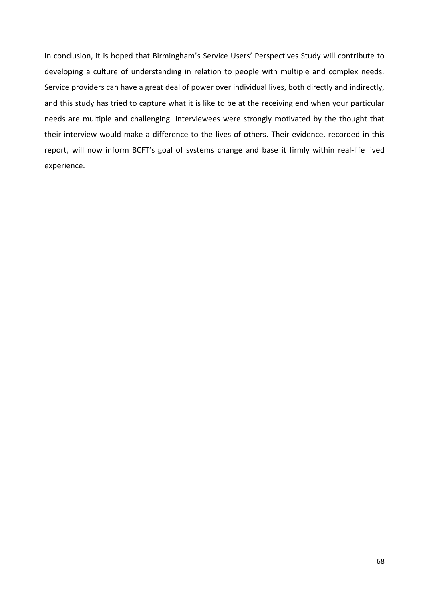In conclusion, it is hoped that Birmingham's Service Users' Perspectives Study will contribute to developing a culture of understanding in relation to people with multiple and complex needs. Service providers can have a great deal of power over individual lives, both directly and indirectly, and this study has tried to capture what it is like to be at the receiving end when your particular needs are multiple and challenging. Interviewees were strongly motivated by the thought that their interview would make a difference to the lives of others. Their evidence, recorded in this report, will now inform BCFT's goal of systems change and base it firmly within real-life lived experience.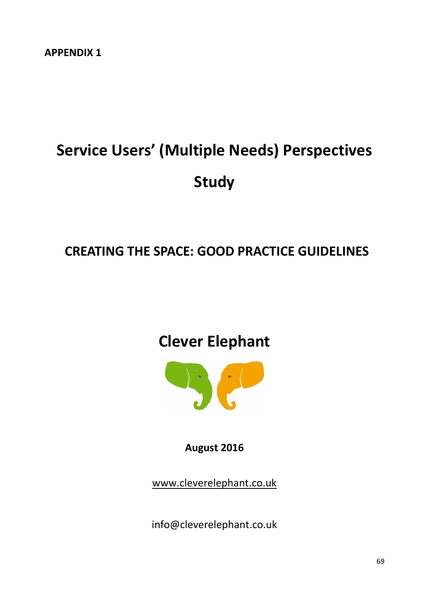# **Service Users' (Multiple Needs) Perspectives Study**

# **CREATING THE SPACE: GOOD PRACTICE GUIDELINES**

# **Clever Elephant**



## **August 2016**

[www.cleverelephant.co.uk](http://www.cleverelephant.co.uk/)

info@cleverelephant.co.uk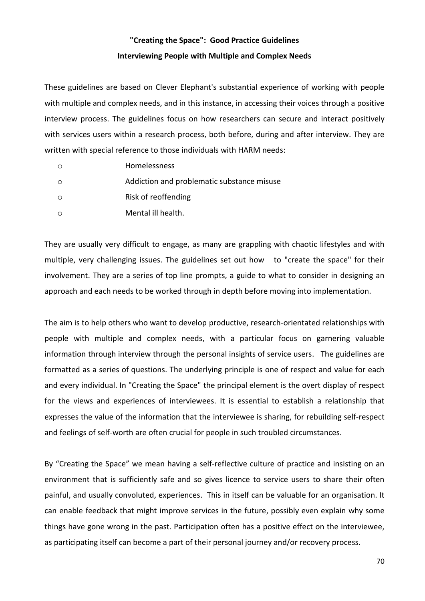## **"Creating the Space": Good Practice Guidelines Interviewing People with Multiple and Complex Needs**

These guidelines are based on Clever Elephant's substantial experience of working with people with multiple and complex needs, and in this instance, in accessing their voices through a positive interview process. The guidelines focus on how researchers can secure and interact positively with services users within a research process, both before, during and after interview. They are written with special reference to those individuals with HARM needs:

| Homelessness                               |
|--------------------------------------------|
| Addiction and problematic substance misuse |
| Risk of reoffending                        |
| Mental ill health.                         |

They are usually very difficult to engage, as many are grappling with chaotic lifestyles and with multiple, very challenging issues. The guidelines set out how to "create the space" for their involvement. They are a series of top line prompts, a guide to what to consider in designing an approach and each needs to be worked through in depth before moving into implementation.

The aim is to help others who want to develop productive, research-orientated relationships with people with multiple and complex needs, with a particular focus on garnering valuable information through interview through the personal insights of service users. The guidelines are formatted as a series of questions. The underlying principle is one of respect and value for each and every individual. In "Creating the Space" the principal element is the overt display of respect for the views and experiences of interviewees. It is essential to establish a relationship that expresses the value of the information that the interviewee is sharing, for rebuilding self-respect and feelings of self-worth are often crucial for people in such troubled circumstances.

By "Creating the Space" we mean having a self-reflective culture of practice and insisting on an environment that is sufficiently safe and so gives licence to service users to share their often painful, and usually convoluted, experiences. This in itself can be valuable for an organisation. It can enable feedback that might improve services in the future, possibly even explain why some things have gone wrong in the past. Participation often has a positive effect on the interviewee, as participating itself can become a part of their personal journey and/or recovery process.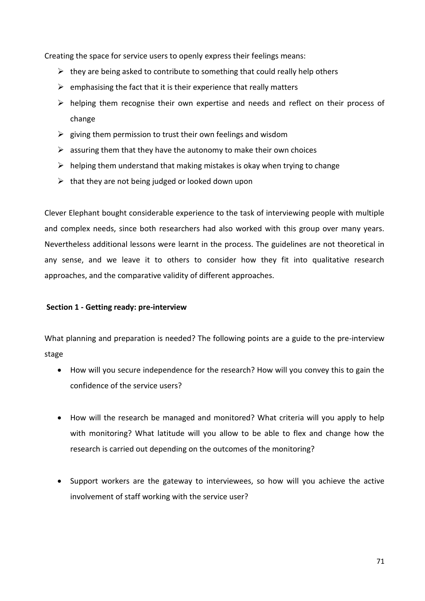Creating the space for service users to openly express their feelings means:

- $\triangleright$  they are being asked to contribute to something that could really help others
- $\triangleright$  emphasising the fact that it is their experience that really matters
- $\triangleright$  helping them recognise their own expertise and needs and reflect on their process of change
- $\triangleright$  giving them permission to trust their own feelings and wisdom
- $\triangleright$  assuring them that they have the autonomy to make their own choices
- $\triangleright$  helping them understand that making mistakes is okay when trying to change
- $\triangleright$  that they are not being judged or looked down upon

Clever Elephant bought considerable experience to the task of interviewing people with multiple and complex needs, since both researchers had also worked with this group over many years. Nevertheless additional lessons were learnt in the process. The guidelines are not theoretical in any sense, and we leave it to others to consider how they fit into qualitative research approaches, and the comparative validity of different approaches.

#### **Section 1 - Getting ready: pre-interview**

What planning and preparation is needed? The following points are a guide to the pre-interview stage

- How will you secure independence for the research? How will you convey this to gain the confidence of the service users?
- How will the research be managed and monitored? What criteria will you apply to help with monitoring? What latitude will you allow to be able to flex and change how the research is carried out depending on the outcomes of the monitoring?
- Support workers are the gateway to interviewees, so how will you achieve the active involvement of staff working with the service user?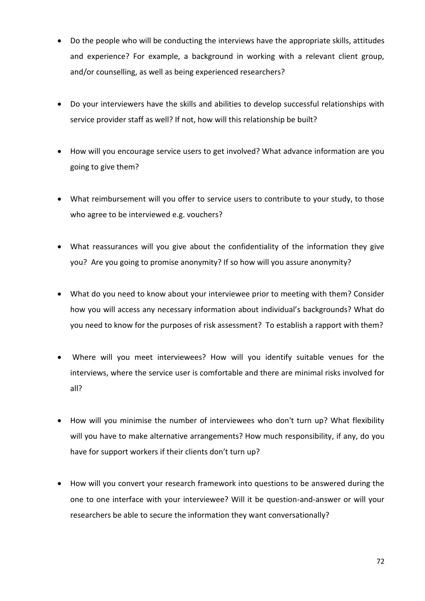- Do the people who will be conducting the interviews have the appropriate skills, attitudes and experience? For example, a background in working with a relevant client group, and/or counselling, as well as being experienced researchers?
- Do your interviewers have the skills and abilities to develop successful relationships with service provider staff as well? If not, how will this relationship be built?
- How will you encourage service users to get involved? What advance information are you going to give them?
- What reimbursement will you offer to service users to contribute to your study, to those who agree to be interviewed e.g. vouchers?
- What reassurances will you give about the confidentiality of the information they give you? Are you going to promise anonymity? If so how will you assure anonymity?
- What do you need to know about your interviewee prior to meeting with them? Consider how you will access any necessary information about individual's backgrounds? What do you need to know for the purposes of risk assessment? To establish a rapport with them?
- Where will you meet interviewees? How will you identify suitable venues for the interviews, where the service user is comfortable and there are minimal risks involved for all?
- How will you minimise the number of interviewees who don't turn up? What flexibility will you have to make alternative arrangements? How much responsibility, if any, do you have for support workers if their clients don't turn up?
- How will you convert your research framework into questions to be answered during the one to one interface with your interviewee? Will it be question-and-answer or will your researchers be able to secure the information they want conversationally?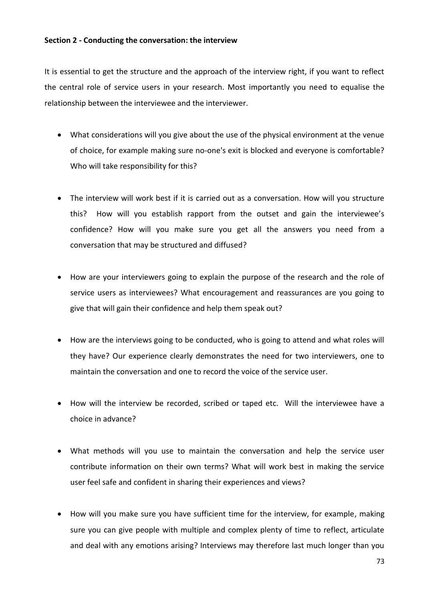## **Section 2 - Conducting the conversation: the interview**

It is essential to get the structure and the approach of the interview right, if you want to reflect the central role of service users in your research. Most importantly you need to equalise the relationship between the interviewee and the interviewer.

- What considerations will you give about the use of the physical environment at the venue of choice, for example making sure no-one's exit is blocked and everyone is comfortable? Who will take responsibility for this?
- The interview will work best if it is carried out as a conversation. How will you structure this? How will you establish rapport from the outset and gain the interviewee's confidence? How will you make sure you get all the answers you need from a conversation that may be structured and diffused?
- How are your interviewers going to explain the purpose of the research and the role of service users as interviewees? What encouragement and reassurances are you going to give that will gain their confidence and help them speak out?
- How are the interviews going to be conducted, who is going to attend and what roles will they have? Our experience clearly demonstrates the need for two interviewers, one to maintain the conversation and one to record the voice of the service user.
- How will the interview be recorded, scribed or taped etc. Will the interviewee have a choice in advance?
- What methods will you use to maintain the conversation and help the service user contribute information on their own terms? What will work best in making the service user feel safe and confident in sharing their experiences and views?
- How will you make sure you have sufficient time for the interview, for example, making sure you can give people with multiple and complex plenty of time to reflect, articulate and deal with any emotions arising? Interviews may therefore last much longer than you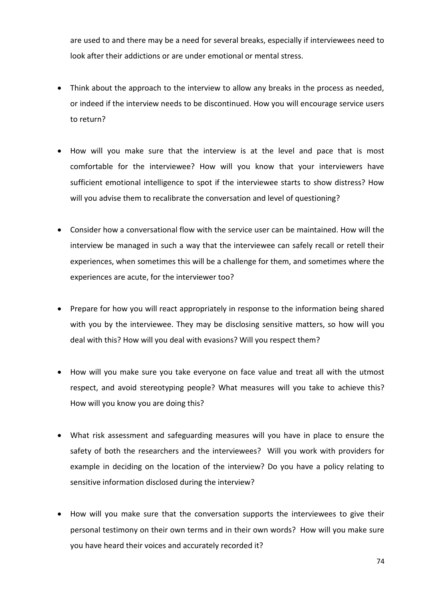are used to and there may be a need for several breaks, especially if interviewees need to look after their addictions or are under emotional or mental stress.

- Think about the approach to the interview to allow any breaks in the process as needed, or indeed if the interview needs to be discontinued. How you will encourage service users to return?
- How will you make sure that the interview is at the level and pace that is most comfortable for the interviewee? How will you know that your interviewers have sufficient emotional intelligence to spot if the interviewee starts to show distress? How will you advise them to recalibrate the conversation and level of questioning?
- Consider how a conversational flow with the service user can be maintained. How will the interview be managed in such a way that the interviewee can safely recall or retell their experiences, when sometimes this will be a challenge for them, and sometimes where the experiences are acute, for the interviewer too?
- Prepare for how you will react appropriately in response to the information being shared with you by the interviewee. They may be disclosing sensitive matters, so how will you deal with this? How will you deal with evasions? Will you respect them?
- How will you make sure you take everyone on face value and treat all with the utmost respect, and avoid stereotyping people? What measures will you take to achieve this? How will you know you are doing this?
- What risk assessment and safeguarding measures will you have in place to ensure the safety of both the researchers and the interviewees? Will you work with providers for example in deciding on the location of the interview? Do you have a policy relating to sensitive information disclosed during the interview?
- How will you make sure that the conversation supports the interviewees to give their personal testimony on their own terms and in their own words? How will you make sure you have heard their voices and accurately recorded it?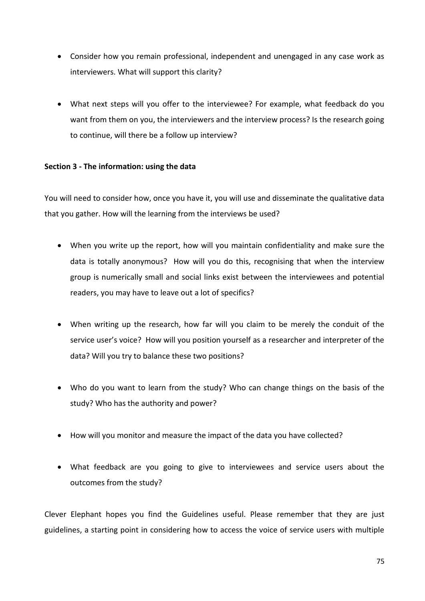- Consider how you remain professional, independent and unengaged in any case work as interviewers. What will support this clarity?
- What next steps will you offer to the interviewee? For example, what feedback do you want from them on you, the interviewers and the interview process? Is the research going to continue, will there be a follow up interview?

## **Section 3 - The information: using the data**

You will need to consider how, once you have it, you will use and disseminate the qualitative data that you gather. How will the learning from the interviews be used?

- When you write up the report, how will you maintain confidentiality and make sure the data is totally anonymous? How will you do this, recognising that when the interview group is numerically small and social links exist between the interviewees and potential readers, you may have to leave out a lot of specifics?
- When writing up the research, how far will you claim to be merely the conduit of the service user's voice? How will you position yourself as a researcher and interpreter of the data? Will you try to balance these two positions?
- Who do you want to learn from the study? Who can change things on the basis of the study? Who has the authority and power?
- How will you monitor and measure the impact of the data you have collected?
- What feedback are you going to give to interviewees and service users about the outcomes from the study?

Clever Elephant hopes you find the Guidelines useful. Please remember that they are just guidelines, a starting point in considering how to access the voice of service users with multiple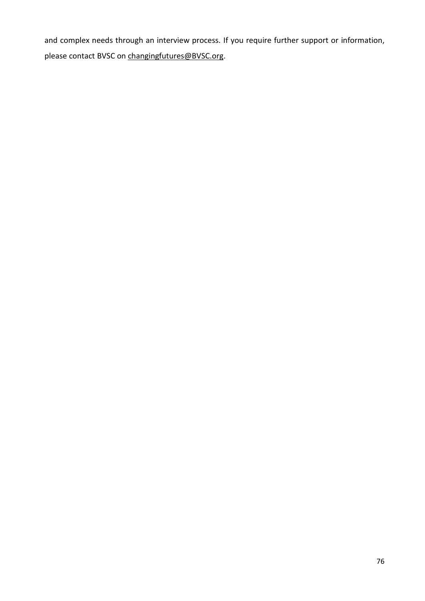and complex needs through an interview process. If you require further support or information, please contact BVSC on [changingfutures@BVSC.org.](mailto:changingfutures@BVSC.org)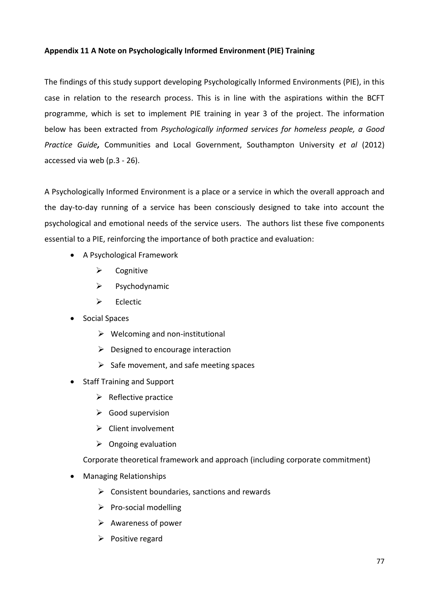## **Appendix 11 A Note on Psychologically Informed Environment (PIE) Training**

The findings of this study support developing Psychologically Informed Environments (PIE), in this case in relation to the research process. This is in line with the aspirations within the BCFT programme, which is set to implement PIE training in year 3 of the project. The information below has been extracted from *Psychologically informed services for homeless people, a Good Practice Guide,* Communities and Local Government, Southampton University *et al* (2012) accessed via web (p.3 - 26).

A Psychologically Informed Environment is a place or a service in which the overall approach and the day-to-day running of a service has been consciously designed to take into account the psychological and emotional needs of the service users. The authors list these five components essential to a PIE, reinforcing the importance of both practice and evaluation:

- A Psychological Framework
	- $\triangleright$  Cognitive
	- $\triangleright$  Psychodynamic
	- $\triangleright$  Eclectic
- Social Spaces
	- $\triangleright$  Welcoming and non-institutional
	- $\triangleright$  Designed to encourage interaction
	- $\triangleright$  Safe movement, and safe meeting spaces
- Staff Training and Support
	- $\triangleright$  Reflective practice
	- $\triangleright$  Good supervision
	- $\triangleright$  Client involvement
	- $\triangleright$  Ongoing evaluation

Corporate theoretical framework and approach (including corporate commitment)

- Managing Relationships
	- $\triangleright$  Consistent boundaries, sanctions and rewards
	- $\triangleright$  Pro-social modelling
	- $\triangleright$  Awareness of power
	- $\triangleright$  Positive regard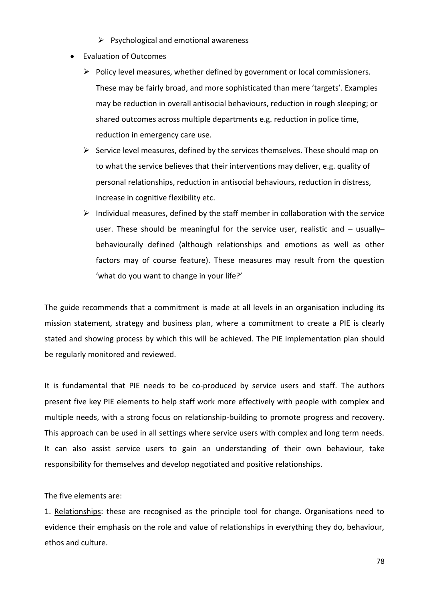- $\triangleright$  Psychological and emotional awareness
- Evaluation of Outcomes
	- $\triangleright$  Policy level measures, whether defined by government or local commissioners. These may be fairly broad, and more sophisticated than mere 'targets'. Examples may be reduction in overall antisocial behaviours, reduction in rough sleeping; or shared outcomes across multiple departments e.g. reduction in police time, reduction in emergency care use.
	- $\triangleright$  Service level measures, defined by the services themselves. These should map on to what the service believes that their interventions may deliver, e.g. quality of personal relationships, reduction in antisocial behaviours, reduction in distress, increase in cognitive flexibility etc.
	- $\triangleright$  Individual measures, defined by the staff member in collaboration with the service user. These should be meaningful for the service user, realistic and - usuallybehaviourally defined (although relationships and emotions as well as other factors may of course feature). These measures may result from the question 'what do you want to change in your life?'

The guide recommends that a commitment is made at all levels in an organisation including its mission statement, strategy and business plan, where a commitment to create a PIE is clearly stated and showing process by which this will be achieved. The PIE implementation plan should be regularly monitored and reviewed.

It is fundamental that PIE needs to be co-produced by service users and staff. The authors present five key PIE elements to help staff work more effectively with people with complex and multiple needs, with a strong focus on relationship-building to promote progress and recovery. This approach can be used in all settings where service users with complex and long term needs. It can also assist service users to gain an understanding of their own behaviour, take responsibility for themselves and develop negotiated and positive relationships.

The five elements are:

1. Relationships: these are recognised as the principle tool for change. Organisations need to evidence their emphasis on the role and value of relationships in everything they do, behaviour, ethos and culture.